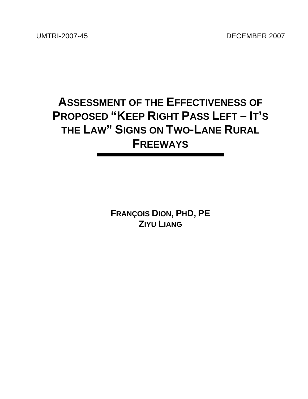UMTRI-2007-45 DECEMBER 2007

# **ASSESSMENT OF THE EFFECTIVENESS OF PROPOSED "KEEP RIGHT PASS LEFT – IT'S THE LAW" SIGNS ON TWO-LANE RURAL FREEWAYS**

**FRANÇOIS DION, PHD, PE ZIYU LIANG**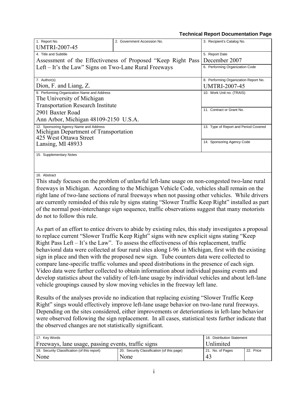#### **Technical Report Documentation Page**

| 1. Report No.                                         | 2. Government Accession No.                                  | 3. Recipient's Catalog No.            |
|-------------------------------------------------------|--------------------------------------------------------------|---------------------------------------|
| <b>UMTRI-2007-45</b>                                  |                                                              |                                       |
| 4. Title and Subtitle                                 |                                                              | 5. Report Date                        |
|                                                       | Assessment of the Effectiveness of Proposed "Keep Right Pass | December 2007                         |
| Left – It's the Law" Signs on Two-Lane Rural Freeways |                                                              | 6. Performing Organization Code       |
|                                                       |                                                              |                                       |
| 7. Author(s)                                          |                                                              | 8. Performing Organization Report No. |
| Dion, F. and Liang, Z.                                |                                                              | <b>UMTRI-2007-45</b>                  |
| 9. Performing Organization Name and Address           |                                                              | 10. Work Unit no. (TRAIS)             |
| The University of Michigan                            |                                                              |                                       |
| <b>Transportation Research Institute</b>              |                                                              |                                       |
| 2901 Baxter Road                                      |                                                              | 11. Contract or Grant No.             |
| Ann Arbor, Michigan 48109-2150 U.S.A.                 |                                                              |                                       |
| 12. Sponsoring Agency Name and Address                |                                                              | 13. Type of Report and Period Covered |
| Michigan Department of Transportation                 |                                                              |                                       |
| 425 West Ottawa Street                                |                                                              | 14. Sponsoring Agency Code            |
| Lansing, MI 48933                                     |                                                              |                                       |
| 15. Supplementary Notes                               |                                                              |                                       |
|                                                       |                                                              |                                       |

16. Abstract

This study focuses on the problem of unlawful left-lane usage on non-congested two-lane rural freeways in Michigan. According to the Michigan Vehicle Code, vehicles shall remain on the right lane of two-lane sections of rural freeways when not passing other vehicles. While drivers are currently reminded of this rule by signs stating "Slower Traffic Keep Right" installed as part of the normal post-interchange sign sequence, traffic observations suggest that many motorists do not to follow this rule.

As part of an effort to entice drivers to abide by existing rules, this study investigates a proposal to replace current "Slower Traffic Keep Right" signs with new explicit signs stating "Keep Right Pass Left – It's the Law". To assess the effectiveness of this replacement, traffic behavioral data were collected at four rural sites along I-96 in Michigan, first with the existing sign in place and then with the proposed new sign. Tube counters data were collected to compare lane-specific traffic volumes and speed distributions in the presence of each sign. Video data were further collected to obtain information about individual passing events and develop statistics about the validity of left-lane usage by individual vehicles and about left-lane vehicle groupings caused by slow moving vehicles in the freeway left lane.

Results of the analyses provide no indication that replacing existing "Slower Traffic Keep Right" sings would effectively improve left-lane usage behavior on two-lane rural freeways. Depending on the sites considered, either improvements or deteriorations in left-lane behavior were observed following the sign replacement. In all cases, statistical tests further indicate that the observed changes are not statistically significant.

| 18. Distribution Statement<br>17. Key Words         |                                            |                  |           |  |  |  |  |  |
|-----------------------------------------------------|--------------------------------------------|------------------|-----------|--|--|--|--|--|
| Freeways, lane usage, passing events, traffic signs | Unlimited                                  |                  |           |  |  |  |  |  |
| 19. Security Classification (of this report)        | 20. Security Classification (of this page) | 21. No. of Pages | 22. Price |  |  |  |  |  |
| None                                                | None                                       | 43               |           |  |  |  |  |  |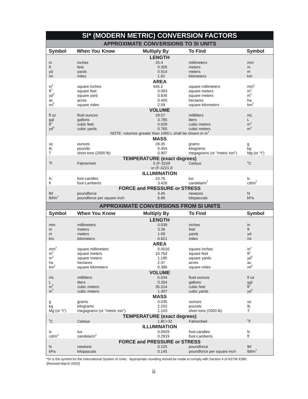|                     |                                          | SI* (MODERN METRIC) CONVERSION FACTORS                             |                                          |                                  |
|---------------------|------------------------------------------|--------------------------------------------------------------------|------------------------------------------|----------------------------------|
|                     |                                          | <b>APPROXIMATE CONVERSIONS TO SI UNITS</b>                         |                                          |                                  |
| <b>Symbol</b>       | <b>When You Know</b>                     | <b>Multiply By</b>                                                 | <b>To Find</b>                           | <b>Symbol</b>                    |
|                     |                                          | <b>LENGTH</b>                                                      |                                          |                                  |
| in                  | inches                                   | 25.4                                                               | millimeters                              | mm                               |
| ft                  | feet                                     | 0.305                                                              | meters                                   | m                                |
| yd                  | yards                                    | 0.914                                                              | meters                                   | m                                |
| mi                  | miles                                    | 1.61                                                               | kilometers                               | km                               |
|                     |                                          | <b>AREA</b>                                                        |                                          |                                  |
| $in^2$              | square inches                            | 645.2                                                              | square millimeters                       | mm <sup>2</sup>                  |
| $\mathrm{ft}^2$     | square feet                              | 0.093                                                              | square meters                            | m <sup>2</sup><br>m <sup>2</sup> |
| yd <sup>2</sup>     | square yard                              | 0.836<br>0.405                                                     | square meters                            |                                  |
| ac<br>$mi^2$        | acres<br>square miles                    | 2.59                                                               | hectares<br>square kilometers            | ha<br>km <sup>2</sup>            |
|                     |                                          | <b>VOLUME</b>                                                      |                                          |                                  |
| fl oz               | fluid ounces                             | 29.57                                                              | milliliters                              | mL                               |
|                     | gallons                                  | 3.785                                                              | liters                                   | L.                               |
| $\frac{gal}{ft^3}$  | cubic feet                               | 0.028                                                              | cubic meters                             | m <sup>3</sup>                   |
| $yd^3$              | cubic yards                              | 0.765                                                              | cubic meters                             | m <sup>3</sup>                   |
|                     |                                          | NOTE: volumes greater than 1000 L shall be shown in m <sup>3</sup> |                                          |                                  |
|                     |                                          | <b>MASS</b>                                                        |                                          |                                  |
| 0Z                  | ounces                                   | 28.35                                                              | grams                                    | g                                |
| lb                  | pounds                                   | 0.454                                                              | kilograms                                | kg                               |
| т                   | short tons (2000 lb)                     | 0.907                                                              | megagrams (or "metric ton")              | $Mq$ (or "t")                    |
|                     |                                          | <b>TEMPERATURE (exact degrees)</b>                                 |                                          |                                  |
| $\mathrm{P}$        | Fahrenheit                               | 5 (F-32)/9                                                         | Celsius                                  | $^{\circ}C$                      |
|                     |                                          | or (F-32)/1.8                                                      |                                          |                                  |
|                     |                                          | <b>ILLUMINATION</b>                                                |                                          |                                  |
| fc                  | foot-candles                             | 10.76                                                              | lux                                      | lx                               |
| fl                  | foot-Lamberts                            | 3.426                                                              | candela/m <sup>2</sup>                   | cd/m <sup>2</sup>                |
|                     |                                          | <b>FORCE and PRESSURE or STRESS</b>                                |                                          |                                  |
| Ibf                 | poundforce                               | 4.45                                                               | newtons                                  | N                                |
| lbf/in <sup>2</sup> | poundforce per square inch               | 6.89                                                               | kilopascals                              | kPa                              |
|                     |                                          |                                                                    |                                          |                                  |
|                     |                                          | <b>APPROXIMATE CONVERSIONS FROM SI UNITS</b>                       |                                          |                                  |
| <b>Symbol</b>       | <b>When You Know</b>                     | <b>Multiply By</b>                                                 | <b>To Find</b>                           | <b>Symbol</b>                    |
|                     |                                          |                                                                    |                                          |                                  |
| mm                  | millimeters                              | <b>LENGTH</b><br>0.039                                             | inches                                   | in                               |
| m                   | meters                                   | 3.28                                                               | feet                                     | ft                               |
| m                   | meters                                   | 1.09                                                               | yards                                    | yd                               |
| km                  | kilometers                               | 0.621                                                              | miles                                    | mi                               |
|                     |                                          | <b>AREA</b>                                                        |                                          |                                  |
| mm <sup>2</sup>     | square millimeters                       | 0.0016                                                             | square inches                            | $in^2$                           |
| m <sup>2</sup>      | square meters                            | 10.764                                                             | square feet                              | $ft^2$                           |
| m <sup>2</sup>      | square meters                            | 1.195                                                              | square yards                             | $yd^2$                           |
| ha                  | hectares                                 | 2.47                                                               | acres                                    | ac                               |
| $\mbox{km}^2$       | square kilometers                        | 0.386                                                              | square miles                             | mi <sup>2</sup>                  |
|                     |                                          | <b>VOLUME</b>                                                      |                                          |                                  |
| mL                  | milliliters                              | 0.034                                                              | fluid ounces                             | fl oz                            |
| L                   | liters                                   | 0.264                                                              | gallons                                  | gal                              |
| m <sup>3</sup>      | cubic meters<br>cubic meters             | 35.314                                                             | cubic feet<br>cubic yards                | $\mathbf{\bar{t}}^3$             |
| m <sup>3</sup>      |                                          | 1.307                                                              |                                          | $yd^3$                           |
|                     |                                          | <b>MASS</b>                                                        |                                          |                                  |
| g                   | grams                                    | 0.035<br>2.202                                                     | ounces<br>pounds                         | 0Z<br>lb                         |
| kg<br>$Mg$ (or "t") | kilograms<br>megagrams (or "metric ton") | 1.103                                                              | short tons (2000 lb)                     | Τ                                |
|                     |                                          |                                                                    |                                          |                                  |
| $^{\circ}C$         | Celsius                                  | <b>TEMPERATURE (exact degrees)</b><br>$1.8C + 32$                  | Fahrenheit                               | $\mathrm{P}$                     |
|                     |                                          | <b>ILLUMINATION</b>                                                |                                          |                                  |
| lx                  | lux                                      | 0.0929                                                             | foot-candles                             | fc                               |
| $\text{cd/m}^2$     | candela/m <sup>2</sup>                   | 0.2919                                                             | foot-Lamberts                            | fl                               |
|                     |                                          | <b>FORCE and PRESSURE or STRESS</b>                                |                                          |                                  |
| N<br>kPa            | newtons<br>kilopascals                   | 0.225<br>0.145                                                     | poundforce<br>poundforce per square inch | Ibf<br>lbf/in <sup>2</sup>       |

\*SI is the symbol for the International System of Units. Appropriate rounding should be made to comply with Section 4 of ASTM E380.<br>(Revised March 2003)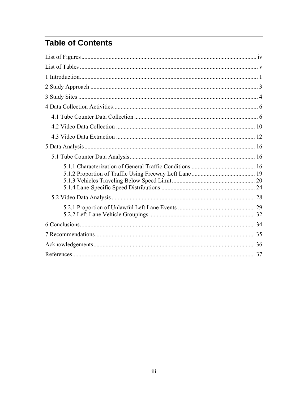# **Table of Contents**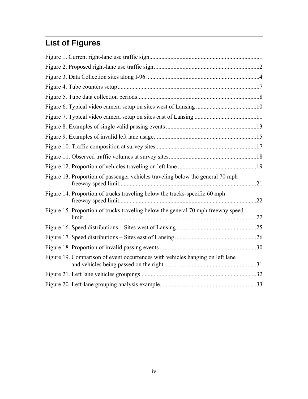# **List of Figures**

| Figure 13. Proportion of passenger vehicles traveling below the general 70 mph   |  |
|----------------------------------------------------------------------------------|--|
| Figure 14. Proportion of trucks traveling below the trucks-specific 60 mph       |  |
| Figure 15. Proportion of trucks traveling below the general 70 mph freeway speed |  |
|                                                                                  |  |
|                                                                                  |  |
|                                                                                  |  |
| Figure 19. Comparison of event occurrences with vehicles hanging on left lane    |  |
|                                                                                  |  |
|                                                                                  |  |
|                                                                                  |  |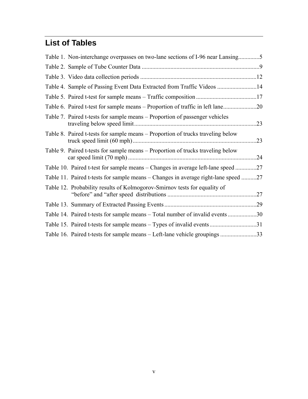# **List of Tables**

| Table 1. Non-interchange overpasses on two-lane sections of I-96 near Lansing5     |     |
|------------------------------------------------------------------------------------|-----|
|                                                                                    |     |
|                                                                                    |     |
| Table 4. Sample of Passing Event Data Extracted from Traffic Videos 14             |     |
|                                                                                    |     |
|                                                                                    |     |
| Table 7. Paired t-tests for sample means – Proportion of passenger vehicles        | .23 |
| Table 8. Paired t-tests for sample means – Proportion of trucks traveling below    | .23 |
| Table 9. Paired t-tests for sample means – Proportion of trucks traveling below    | .24 |
| Table 10. Paired t-test for sample means – Changes in average left-lane speed      | .27 |
| Table 11. Paired t-tests for sample means – Changes in average right-lane speed 27 |     |
| Table 12. Probability results of Kolmogorov-Smirnov tests for equality of          | .27 |
|                                                                                    |     |
| Table 14. Paired t-tests for sample means – Total number of invalid events 30      |     |
| Table 15. Paired t-tests for sample means – Types of invalid events31              |     |
| Table 16. Paired t-tests for sample means - Left-lane vehicle groupings 33         |     |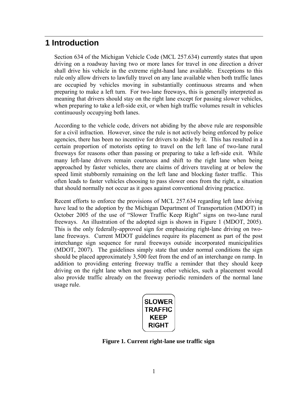# **1 Introduction**

Section 634 of the Michigan Vehicle Code (MCL 257.634) currently states that upon driving on a roadway having two or more lanes for travel in one direction a driver shall drive his vehicle in the extreme right-hand lane available. Exceptions to this rule only allow drivers to lawfully travel on any lane available when both traffic lanes are occupied by vehicles moving in substantially continuous streams and when preparing to make a left turn. For two-lane freeways, this is generally interpreted as meaning that drivers should stay on the right lane except for passing slower vehicles, when preparing to take a left-side exit, or when high traffic volumes result in vehicles continuously occupying both lanes.

According to the vehicle code, drivers not abiding by the above rule are responsible for a civil infraction. However, since the rule is not actively being enforced by police agencies, there has been no incentive for drivers to abide by it. This has resulted in a certain proportion of motorists opting to travel on the left lane of two-lane rural freeways for reasons other than passing or preparing to take a left-side exit. While many left-lane drivers remain courteous and shift to the right lane when being approached by faster vehicles, there are claims of drivers traveling at or below the speed limit stubbornly remaining on the left lane and blocking faster traffic. This often leads to faster vehicles choosing to pass slower ones from the right, a situation that should normally not occur as it goes against conventional driving practice.

Recent efforts to enforce the provisions of MCL 257.634 regarding left lane driving have lead to the adoption by the Michigan Department of Transportation (MDOT) in October 2005 of the use of "Slower Traffic Keep Right" signs on two-lane rural freeways. An illustration of the adopted sign is shown in Figure 1 (MDOT, 2005). This is the only federally-approved sign for emphasizing right-lane driving on twolane freeways. Current MDOT guidelines require its placement as part of the post interchange sign sequence for rural freeways outside incorporated municipalities (MDOT, 2007). The guidelines simply state that under normal conditions the sign should be placed approximately 3,500 feet from the end of an interchange on ramp. In addition to providing entering freeway traffic a reminder that they should keep driving on the right lane when not passing other vehicles, such a placement would also provide traffic already on the freeway periodic reminders of the normal lane usage rule.



**Figure 1. Current right-lane use traffic sign**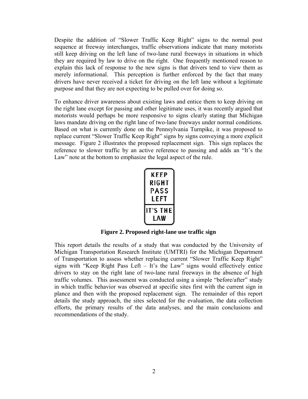Despite the addition of "Slower Traffic Keep Right" signs to the normal post sequence at freeway interchanges, traffic observations indicate that many motorists still keep driving on the left lane of two-lane rural freeways in situations in which they are required by law to drive on the right. One frequently mentioned reason to explain this lack of response to the new signs is that drivers tend to view them as merely informational. This perception is further enforced by the fact that many drivers have never received a ticket for driving on the left lane without a legitimate purpose and that they are not expecting to be pulled over for doing so.

To enhance driver awareness about existing laws and entice them to keep driving on the right lane except for passing and other legitimate uses, it was recently argued that motorists would perhaps be more responsive to signs clearly stating that Michigan laws mandate driving on the right lane of two-lane freeways under normal conditions. Based on what is currently done on the Pennsylvania Turnpike, it was proposed to replace current "Slower Traffic Keep Right" signs by signs conveying a more explicit message. Figure 2 illustrates the proposed replacement sign. This sign replaces the reference to slower traffic by an active reference to passing and adds an "It's the Law" note at the bottom to emphasize the legal aspect of the rule.

| KEEP            |  |  |  |  |  |  |  |  |
|-----------------|--|--|--|--|--|--|--|--|
| RIGHT           |  |  |  |  |  |  |  |  |
| PASS            |  |  |  |  |  |  |  |  |
| LEFT            |  |  |  |  |  |  |  |  |
| <b>IT'S THE</b> |  |  |  |  |  |  |  |  |
| LAW             |  |  |  |  |  |  |  |  |

**Figure 2. Proposed right-lane use traffic sign** 

This report details the results of a study that was conducted by the University of Michigan Transportation Research Institute (UMTRI) for the Michigan Department of Transportation to assess whether replacing current "Slower Traffic Keep Right" signs with "Keep Right Pass Left – It's the Law" signs would effectively entice drivers to stay on the right lane of two-lane rural freeways in the absence of high traffic volumes. This assessment was conducted using a simple "before/after" study in which traffic behavior was observed at specific sites first with the current sign in plance and then with the proposed replacement sign. The remainder of this report details the study approach, the sites selected for the evaluation, the data collection efforts, the primary results of the data analyses, and the main conclusions and recommendations of the study.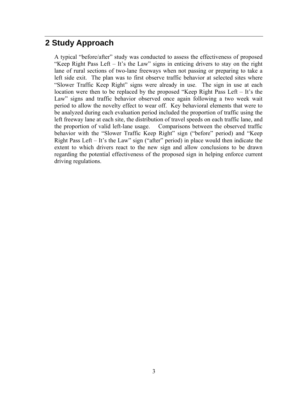# **2 Study Approach**

A typical "before/after" study was conducted to assess the effectiveness of proposed "Keep Right Pass Left – It's the Law" signs in enticing drivers to stay on the right lane of rural sections of two-lane freeways when not passing or preparing to take a left side exit. The plan was to first observe traffic behavior at selected sites where "Slower Traffic Keep Right" signs were already in use. The sign in use at each location were then to be replaced by the proposed "Keep Right Pass Left – It's the Law" signs and traffic behavior observed once again following a two week wait period to allow the novelty effect to wear off. Key behavioral elements that were to be analyzed during each evaluation period included the proportion of traffic using the left freeway lane at each site, the distribution of travel speeds on each traffic lane, and the proportion of valid left-lane usage. Comparisons between the observed traffic behavior with the "Slower Traffic Keep Right" sign ("before" period) and "Keep Right Pass Left – It's the Law" sign ("after" period) in place would then indicate the extent to which drivers react to the new sign and allow conclusions to be drawn regarding the potential effectiveness of the proposed sign in helping enforce current driving regulations.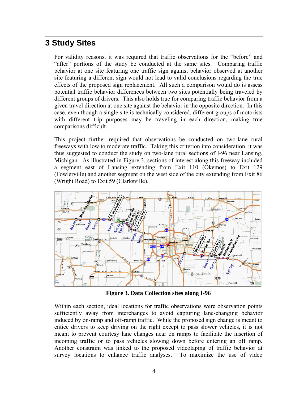### **3 Study Sites**

For validity reasons, it was required that traffic observations for the "before" and "after" portions of the study be conducted at the same sites. Comparing traffic behavior at one site featuring one traffic sign against behavior observed at another site featuring a different sign would not lead to valid conclusions regarding the true effects of the proposed sign replacement. All such a comparison would do is assess potential traffic behavior differences between two sites potentially being traveled by different groups of drivers. This also holds true for comparing traffic behavior from a given travel direction at one site against the behavior in the opposite direction. In this case, even though a single site is technically considered, different groups of motorists with different trip purposes may be traveling in each direction, making true comparisons difficult.

This project further required that observations be conducted on two-lane rural freeways with low to moderate traffic. Taking this criterion into consideration, it was thus suggested to conduct the study on two-lane rural sections of I-96 near Lansing, Michigan. As illustrated in Figure 3, sections of interest along this freeway included a segment east of Lansing extending from Exit 110 (Okemos) to Exit 129 (Fowlerville) and another segment on the west side of the city extending from Exit 86 (Wright Road) to Exit 59 (Clarksville).



**Figure 3. Data Collection sites along I-96** 

Within each section, ideal locations for traffic observations were observation points sufficiently away from interchanges to avoid capturing lane-changing behavior induced by on-ramp and off-ramp traffic. While the proposed sign change is meant to entice drivers to keep driving on the right except to pass slower vehicles, it is not meant to prevent courtesy lane changes near on ramps to facilitate the insertion of incoming traffic or to pass vehicles slowing down before entering an off ramp. Another constraint was linked to the proposed videotaping of traffic behavior at survey locations to enhance traffic analyses. To maximize the use of video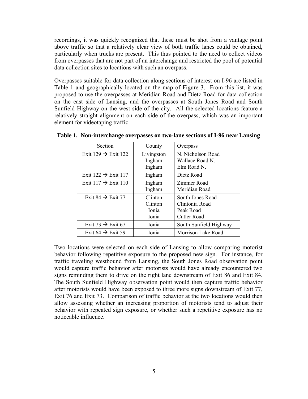recordings, it was quickly recognized that these must be shot from a vantage point above traffic so that a relatively clear view of both traffic lanes could be obtained, particularly when trucks are present. This thus pointed to the need to collect videos from overpasses that are not part of an interchange and restricted the pool of potential data collection sites to locations with such an overpass.

Overpasses suitable for data collection along sections of interest on I-96 are listed in Table 1 and geographically located on the map of Figure 3. From this list, it was proposed to use the overpasses at Meridian Road and Dietz Road for data collection on the east side of Lansing, and the overpasses at South Jones Road and South Sunfield Highway on the west side of the city. All the selected locations feature a relatively straight alignment on each side of the overpass, which was an important element for videotaping traffic.

| Section                         | County                               | Overpass                                                              |
|---------------------------------|--------------------------------------|-----------------------------------------------------------------------|
| Exit 129 $\rightarrow$ Exit 122 | Livingston<br>Ingham<br>Ingham       | N. Nicholson Road<br>Wallace Road N.<br>Elm Road N.                   |
| Exit $122 \rightarrow$ Exit 117 | Ingham                               | Dietz Road                                                            |
| Exit $117 \rightarrow$ Exit 110 | Ingham<br>Ingham                     | Zimmer Road<br>Meridian Road                                          |
| Exit 84 $\rightarrow$ Exit 77   | Clinton<br>Clinton<br>Ionia<br>Ionia | South Jones Road<br>Clintonia Road<br>Peak Road<br><b>Cutler Road</b> |
| Exit 73 $\rightarrow$ Exit 67   | Ionia                                | South Sunfield Highway                                                |
| Exit 64 $\rightarrow$ Exit 59   | Ionia                                | Morrison Lake Road                                                    |

**Table 1. Non-interchange overpasses on two-lane sections of I-96 near Lansing**

Two locations were selected on each side of Lansing to allow comparing motorist behavior following repetitive exposure to the proposed new sign. For instance, for traffic traveling westbound from Lansing, the South Jones Road observation point would capture traffic behavior after motorists would have already encountered two signs reminding them to drive on the right lane downstream of Exit 86 and Exit 84. The South Sunfield Highway observation point would then capture traffic behavior after motorists would have been exposed to three more signs downstream of Exit 77, Exit 76 and Exit 73. Comparison of traffic behavior at the two locations would then allow assessing whether an increasing proportion of motorists tend to adjust their behavior with repeated sign exposure, or whether such a repetitive exposure has no noticeable influence.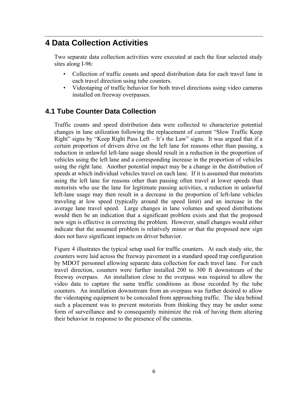# **4 Data Collection Activities**

Two separate data collection activities were executed at each the four selected study sites along I-96:

- Collection of traffic counts and speed distribution data for each travel lane in each travel direction using tube counters.
- Videotaping of traffic behavior for both travel directions using video cameras installed on freeway overpasses.

### **4.1 Tube Counter Data Collection**

Traffic counts and speed distribution data were collected to characterize potential changes in lane utilization following the replacement of current "Slow Traffic Keep Right" signs by "Keep Right Pass Left – It's the Law" signs. It was argued that if a certain proportion of drivers drive on the left lane for reasons other than passing, a reduction in unlawful left-lane usage should result in a reduction in the proportion of vehicles using the left lane and a corresponding increase in the proportion of vehicles using the right lane. Another potential impact may be a change in the distribution of speeds at which individual vehicles travel on each lane. If it is assumed that motorists using the left lane for reasons other than passing often travel at lower speeds than motorists who use the lane for legitimate passing activities, a reduction in unlawful left-lane usage may then result in a decrease in the proportion of left-lane vehicles traveling at low speed (typically around the speed limit) and an increase in the average lane travel speed. Large changes in lane volumes and speed distributions would then be an indication that a significant problem exists and that the proposed new sign is effective in correcting the problem. However, small changes would either indicate that the assumed problem is relatively minor or that the proposed new sign does not have significant impacts on driver behavior.

Figure 4 illustrates the typical setup used for traffic counters. At each study site, the counters were laid across the freeway pavement in a standard speed trap configuration by MDOT personnel allowing separate data collection for each travel lane. For each travel direction, counters were further installed 200 to 300 ft downstream of the freeway overpass. An installation close to the overpass was required to allow the video data to capture the same traffic conditions as those recorded by the tube counters. An installation downstream from an overpass was further desired to allow the videotaping equipment to be concealed from approaching traffic. The idea behind such a placement was to prevent motorists from thinking they may be under some form of surveillance and to consequently minimize the risk of having them altering their behavior in response to the presence of the cameras.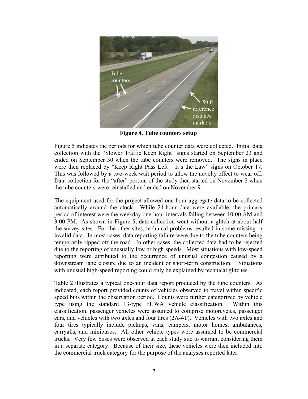

**Figure 4. Tube counters setup** 

Figure 5 indicates the periods for which tube counter data were collected. Initial data collection with the "Slower Traffic Keep Right" signs started on September 23 and ended on September 30 when the tube counters were removed. The signs in place were then replaced by "Keep Right Pass Left – It's the Law" signs on October 17. This was followed by a two-week wait period to allow the novelty effect to wear off. Data collection for the "after" portion of the study then started on November 2 when the tube counters were reinstalled and ended on November 9.

The equipment used for the project allowed one-hour aggregate data to be collected automatically around the clock. While 24-hour data were available, the primary period of interest were the weekday one-hour intervals falling between 10:00 AM and 3:00 PM. As shown in Figure 5, data collection went without a glitch at about half the survey sites. For the other sites, technical problems resulted in some missing or invalid data. In most cases, data reporting failure were due to the tube counters being temporarily ripped off the road. In other cases, the collected data had to be rejected due to the reporting of unusually low or high speeds. Most situations with low-speed reporting were attributed to the occurrence of unusual congestion caused by a downstream lane closure due to an incident or short-term construction. Situations with unusual high-speed reporting could only be explained by technical glitches.

Table 2 illustrates a typical one-hour data report produced by the tube counters. As indicated, each report provided counts of vehicles observed to travel within specific speed bins within the observation period. Counts were further categorized by vehicle type using the standard 13-type FHWA vehicle classification. Within this classification, passenger vehicles were assumed to comprise motorcycles, passenger cars, and vehicles with two axles and four tires (2A-4T). Vehicles with two axles and four tires typically include pickups, vans, campers, motor homes, ambulances, carryalls, and minibuses. All other vehicle types were assumed to be commercial trucks. Very few buses were observed at each study site to warrant considering them in a separate category. Because of their size, these vehicles were then included into the commercial truck category for the purpose of the analyses reported later.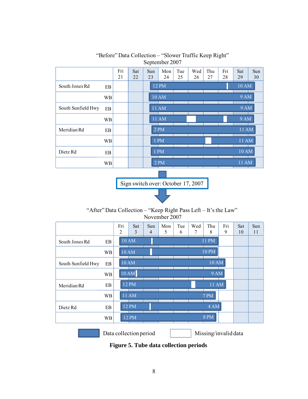|                    |           | Fri | Sat | Sun | Mon          | Tue | Wed | Thu | Fri | Sat          | Sun |
|--------------------|-----------|-----|-----|-----|--------------|-----|-----|-----|-----|--------------|-----|
|                    |           | 21  | 22  | 23  | 24           | 25  | 26  | 27  | 28  | 29           | 30  |
| South Jones Rd     | EB        |     |     |     | $12$ PM      |     |     |     |     | 10 AM        |     |
|                    | <b>WB</b> |     |     |     | <b>10 AM</b> |     |     |     |     | <b>9 AM</b>  |     |
| South Sunfield Hwy | EB        |     |     |     | 11 AM        |     |     |     |     | <b>9 AM</b>  |     |
|                    | <b>WB</b> |     |     |     | <b>11 AM</b> |     |     |     |     | <b>9 AM</b>  |     |
| Meridian Rd        | EB        |     |     |     | 2 PM         |     |     |     |     | 11 AM        |     |
|                    | <b>WB</b> |     |     |     | 1 PM         |     |     |     |     | 11 AM        |     |
| Dietz Rd           | EB        |     |     |     | <b>PM</b>    |     |     |     |     | <b>10 AM</b> |     |
|                    | <b>WB</b> |     |     |     | 2 PM         |     |     |     |     | <b>11 AM</b> |     |

#### "Before" Data Collection – "Slower Traffic Keep Right" September 2007

Sign switch over: October 17, 2007

"After" Data Collection – "Keep Right Pass Left – It's the Law" November 2007

|                    |           | Fri<br>2 | Sat<br>3 | Sun<br>4 | Mon<br>5 | Tue<br>6 | Wed<br>7 | Thu<br>8         | Fri<br>9 | Sat<br>10 | Sun<br>11 |
|--------------------|-----------|----------|----------|----------|----------|----------|----------|------------------|----------|-----------|-----------|
| South Jones Rd     | EB        |          | 10 AM    |          |          |          |          | 11 PM            |          |           |           |
|                    | WB        |          | 10 AM    |          |          |          |          | <b>10 PM</b>     |          |           |           |
| South Sunfield Hwy | EB        |          | 10AM     |          |          |          |          | <b>10 AM</b>     |          |           |           |
|                    | WB        | 10AM     |          |          |          |          |          | <b>9 AM</b>      |          |           |           |
| Meridian Rd        | EB        |          | $12$ PM  |          |          |          |          | 11 AM            |          |           |           |
|                    | WB        |          | 11 AM    |          |          |          |          | 7 P <sub>M</sub> |          |           |           |
| Dietz Rd           | EB        |          | 12 PM    |          |          |          |          | 4 AM             |          |           |           |
|                    | <b>WB</b> |          | 12 PM    |          |          |          |          | <b>8 PM</b>      |          |           |           |
|                    |           |          |          |          |          |          |          |                  |          |           |           |

Data collection period Missing/invalid data

**Figure 5. Tube data collection periods**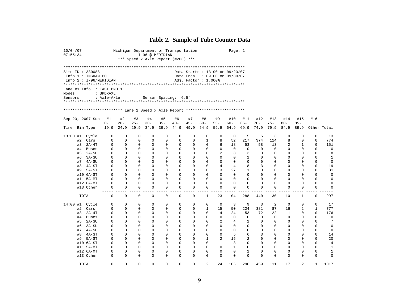### **Table 2. Sample of Tube Counter Data**

| 10/04/07<br>07:55:34 |          |                                                                                                               |                          |               |                  |                         | Michigan Department of Transportation<br>I-96 @ MERIDIAN<br>*** Speed x Axle Report (#206) *** |                  |                      |                                                        |                            | Page: $1$        |                      |                  |                            |                            |                         |                               |                   |
|----------------------|----------|---------------------------------------------------------------------------------------------------------------|--------------------------|---------------|------------------|-------------------------|------------------------------------------------------------------------------------------------|------------------|----------------------|--------------------------------------------------------|----------------------------|------------------|----------------------|------------------|----------------------------|----------------------------|-------------------------|-------------------------------|-------------------|
|                      |          | Site ID: 330088<br>Info 1 : INGHAM CO<br>Info 2: I-96/MERIDIAN                                                |                          |               |                  |                         |                                                                                                |                  | Data Ends            | Data Starts : 13:00 on 09/23/07<br>Adj. Factor: 1.000% | $: 09:00$ on $09/30/07$    |                  |                      |                  |                            |                            |                         |                               |                   |
| Modes<br>Sensors     |          | Lane #1 Info $:$ EAST BND 1<br>************************ Lane 1 Speed x Axle Report ************************** | : SPDxAXL<br>: Axle-Axle |               |                  |                         | Sensor Spacing: 6.5'                                                                           |                  |                      |                                                        |                            |                  |                      |                  |                            |                            |                         |                               |                   |
|                      |          | Sep 23, 2007 Sun                                                                                              | #1<br>$0 -$              | #2<br>$20 -$  | #3<br>$25 -$     | #4<br>$30 -$            | #5<br>$35 -$                                                                                   | #6<br>$40 -$     | #7<br>$45 -$         | #8<br>$50 -$                                           | #9<br>$55 -$               | #10<br>$60 -$    | #11<br>$65 -$        | #12<br>$70 -$    | #13<br>$75 -$              | #14<br>$80 -$              | #15<br>$85 -$           | #16                           |                   |
| Time Bin Type        |          |                                                                                                               | 19.9                     | 24.9          | 29.9             | 34.9                    | 39.9                                                                                           | 44.9             | 49.9                 | 54.9                                                   | 59.9                       | 64.9             | 69.9                 | 74.9             | 79.9                       | 84.9                       | 89.9                    |                               | Other Total       |
|                      |          | 13:00 #1 Cycle                                                                                                | 0                        | $\mathbf 0$   | $\mathbf 0$      | $\mathbf 0$             | $\mathbf 0$                                                                                    | $\mathbf 0$      | 0                    | 0                                                      | $\mathbf 0$                | $\mathbf 0$      | 5                    | 5                | 3                          | $\mathbf 0$                | $\Omega$                | $\mathbf 0$                   | 13                |
|                      | #2       | Cars                                                                                                          | $\Omega$                 | $\Omega$      | $\mathbf 0$      | $\Omega$                | $\Omega$                                                                                       | $\mathbf 0$      | 0                    | 1                                                      | 8                          | 52               | 217                  | 374              | 114                        | 8                          | $\Omega$                | $\Omega$                      | 774               |
|                      | #3       | 2A-4T                                                                                                         | 0                        | 0             | 0                | 0                       | 0                                                                                              | 0                | 0                    | 0                                                      | 6                          | 18               | 53                   | 58               | 13                         | 2                          | 1                       | $\mathbf 0$                   | 151               |
|                      | #4       | Buses<br>$2A-SU$                                                                                              | $\Omega$<br>0            | 0<br>$\Omega$ | 0<br>$\Omega$    | $\mathbf 0$<br>$\Omega$ | 0<br>0                                                                                         | $\mathbf 0$<br>0 | 0<br>$\Omega$        | 0<br>0                                                 | $\mathbf 0$<br>2           | $\mathbf 0$<br>3 | $\mathbf 0$<br>3     | $\mathbf 0$<br>0 | $\mathbf 0$<br>$\mathbf 0$ | $\mathbf 0$<br>$\Omega$    | $\mathbf 0$<br>$\Omega$ | $\mathbf 0$<br>$\Omega$       | $\mathbf 0$<br>8  |
|                      | #5<br>#6 | 3A-SU                                                                                                         | 0                        | $\Omega$      | 0                | $\Omega$                | $\Omega$                                                                                       | 0                | $\Omega$             | 0                                                      | $\mathbf 0$                | $\Omega$         | 1                    | 0                | $\mathbf 0$                | $\mathbf 0$                | $\Omega$                | 0                             | 1                 |
|                      | #7       | 4A-SU                                                                                                         | 0                        | 0             | 0                | 0                       | 0                                                                                              | 0                | 0                    | 0                                                      | 0                          | 0                | $\mathbf 0$          | 0                | 0                          | 0                          | 0                       | $\mathbf 0$                   | $\mathbf 0$       |
|                      | #8       | $4A-ST$                                                                                                       | 0                        | 0             | $\mathbf 0$      | $\mathbf 0$             | 0                                                                                              | 0                | 0                    | $\mathbf 0$                                            | 4                          | 4                | 8                    | 3                | 0                          | $\mathbf 0$                | 0                       | $\mathbf 0$                   | 19                |
|                      | #9       | 5A-ST                                                                                                         | $\Omega$                 | 0             | $\Omega$         | $\Omega$                | 0                                                                                              | 0                | 0                    | $\mathbf 0$                                            | 3                          | 27               | 1                    | 0                | $\mathbf 0$                | 0                          | $\Omega$                | $\Omega$                      | 31                |
|                      |          | #10 6A-ST                                                                                                     | $\Omega$                 | $\Omega$      | $\Omega$         | $\Omega$                | $\Omega$                                                                                       | $\Omega$         | $\Omega$             | $\Omega$                                               | $\Omega$                   | $\Omega$         | $\Omega$             | $\Omega$         | $\mathbf 0$                | $\Omega$                   | $\Omega$                | $\Omega$                      | $\mathbf 0$       |
|                      |          | #11 5A-MT                                                                                                     | $\mathbf 0$              | 0             | $\mathbf 0$      | $\mathbf 0$             | 0                                                                                              | $\mathbf 0$      | 0                    | 0                                                      | $\mathbf 0$                | $\mathbf 0$      | $\mathbf 0$          | 0                | 0                          | $\mathbf 0$                | $\mathbf 0$             | $\mathbf 0$                   | $\mathbf 0$       |
|                      |          | #12 6A-MT                                                                                                     | 0                        | 0             | $\mathbf 0$      | $\mathbf 0$             | 0                                                                                              | $\mathbf 0$      | 0                    | 0                                                      | $\mathbf 0$                | 0                | $\mathbf 0$          | 0                | 0                          | $\mathbf 0$                | $\Omega$                | $\mathbf 0$                   | $\mathbf 0$       |
|                      |          | #13 Other                                                                                                     | 0                        | 0             | 0                | $\mathbf 0$             | $\Omega$                                                                                       | 0                | 0                    | 0                                                      | 0                          | $\Omega$         | 0                    | 0                | 0                          | 0                          | 0                       | 0                             | $\mathbf 0$       |
|                      |          | TOTAL                                                                                                         | $ -$<br>$\mathbf 0$      | 0             | $\mathbf 0$      | $\mathbf 0$             | $\Omega$                                                                                       | $\mathbf 0$      | 0                    | 1                                                      | 23                         | 104              | 288                  | 440              | 130                        | 10                         | 1                       | $\overline{a}$<br>$\mathbf 0$ | 997               |
| 14:00 #1             |          | Cycle                                                                                                         | 0                        | $\Omega$      | $\Omega$         | $\Omega$                | $\Omega$                                                                                       | 0                | 0                    | $\Omega$                                               | 0                          | 3                | 9                    | 3                | 2                          | 0                          | $\Omega$                | $\Omega$                      | 17                |
|                      | #2       | Cars                                                                                                          | 0                        | 0             | 0                | $\Omega$                | 0                                                                                              | 0                | $\Omega$             | $\mathbf{1}$                                           | 15                         | 50               | 224                  | 381              | 87                         | 16                         | 2                       | $\mathbf{1}$                  | 777               |
|                      | #3       | $2A-4T$                                                                                                       | 0                        | 0             | 0                | $\mathbf 0$             | 0                                                                                              | 0                | 0                    | 0                                                      | $\overline{4}$             | 24               | 53                   | 72               | 22                         | 1                          | 0                       | $\mathbf 0$                   | 176               |
|                      | #4       | Buses                                                                                                         | 0                        | 0             | $\mathbf 0$      | $\mathbf 0$             | $\mathbf 0$                                                                                    | $\mathbf 0$      | 0                    | 0                                                      | $\mathbf 0$                | $\mathbf 0$      | $\mathbf 0$          | $\mathbf 0$      | $\mathbf 0$                | $\mathbf 0$                | $\mathbf 0$             | $\mathbf 0$                   | $\mathbf 0$       |
|                      | #5       | 2A-SU                                                                                                         | 0                        | 0             | 0                | $\Omega$                | 0                                                                                              | 0                | 0                    | 0                                                      | 2                          | 4                | 1                    | 0                | 0                          | $\mathbf 0$                | $\Omega$                | $\Omega$                      | 7                 |
|                      | #6       | 3A-SU                                                                                                         | $\Omega$                 | $\Omega$      | $\Omega$         | $\Omega$<br>$\Omega$    | $\Omega$                                                                                       | $\Omega$         | $\Omega$             | $\Omega$                                               | $\Omega$                   | $\Omega$         | $\Omega$<br>$\Omega$ | $\Omega$         | $\mathbf 0$                | $\Omega$                   | $\Omega$                | $\Omega$<br>$\Omega$          | $\mathbf{0}$      |
|                      | #7<br>#8 | $4A-SU$<br>$4A-ST$                                                                                            | 0<br>$\mathbf 0$         | 0<br>$\Omega$ | 0<br>$\mathbf 0$ | $\Omega$                | $\Omega$<br>$\mathbf 0$                                                                        | 0<br>$\mathbf 0$ | $\Omega$<br>$\Omega$ | $\mathbf 0$<br>$\mathbf 0$                             | $\mathbf 0$<br>$\mathbf 0$ | $\Omega$<br>5    | 6                    | 0<br>3           | $\mathbf 0$<br>$\mathbf 0$ | $\mathbf 0$<br>$\mathbf 0$ | $\Omega$<br>$\Omega$    | $\Omega$                      | $\mathbf 0$<br>14 |
|                      | #9       | $5A-ST$                                                                                                       | 0                        | $\Omega$      | 0                | $\Omega$                | $\Omega$                                                                                       | 0                | $\Omega$             | $\mathbf{1}$                                           | 2                          | 15               | $\overline{a}$       | 0                | $\mathbf 0$                | $\Omega$                   | $\Omega$                | $\Omega$                      | 20                |
|                      |          | #10 6A-ST                                                                                                     | 0                        | 0             | $\mathbf 0$      | $\mathbf 0$             | 0                                                                                              | 0                | 0                    | $\mathbf 0$                                            | $\mathbf{1}$               | 3                | $\mathbf 0$          | 0                | $\mathbf 0$                | $\mathbf 0$                | 0                       | $\mathbf 0$                   | $\overline{4}$    |
|                      |          | #11 5A-MT                                                                                                     | $\Omega$                 | 0             | 0                | $\Omega$                | $\Omega$                                                                                       | 0                | 0                    | $\Omega$                                               | $\mathbf 0$                | 1                | $\Omega$             | 0                | 0                          | $\Omega$                   | $\Omega$                | $\mathbf 0$                   | 1                 |
|                      |          | #12 6A-MT                                                                                                     | $\Omega$                 | 0             | $\mathbf 0$      | $\mathbf 0$             | $\Omega$                                                                                       | $\mathbf 0$      | 0                    | 0                                                      | $\mathbf 0$                | $\Omega$         | $\mathbf{1}$         | 0                | 0                          | $\mathbf 0$                | $\Omega$                | $\Omega$                      | $\mathbf{1}$      |
|                      |          | #13 Other                                                                                                     | 0                        | 0             | 0                | $\Omega$                | $\Omega$                                                                                       | 0                | 0                    | $\mathbf 0$                                            | 0                          | 0                | $\Omega$             | 0                | 0                          | 0                          | $\Omega$                | 0                             | $\mathbf 0$       |
|                      |          | TOTAL                                                                                                         | $\mathbf 0$              | 0             | $\mathbf 0$      | $\mathbf 0$             | $\mathbf 0$                                                                                    | $\mathbf 0$      | 0                    | 2                                                      | 24                         | 105              | 296                  | 459              | 111                        | 17                         | 2                       | 1                             | 1017              |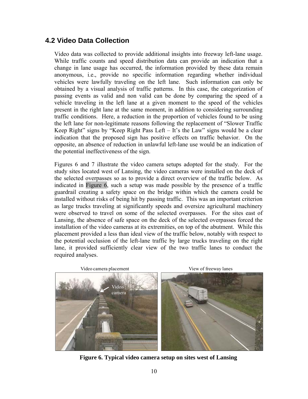### **4.2 Video Data Collection**

Video data was collected to provide additional insights into freeway left-lane usage. While traffic counts and speed distribution data can provide an indication that a change in lane usage has occurred, the information provided by these data remain anonymous, i.e., provide no specific information regarding whether individual vehicles were lawfully traveling on the left lane. Such information can only be obtained by a visual analysis of traffic patterns. In this case, the categorization of passing events as valid and non valid can be done by comparing the speed of a vehicle traveling in the left lane at a given moment to the speed of the vehicles present in the right lane at the same moment, in addition to considering surrounding traffic conditions. Here, a reduction in the proportion of vehicles found to be using the left lane for non-legitimate reasons following the replacement of "Slower Traffic Keep Right" signs by "Keep Right Pass Left – It's the Law" signs would be a clear indication that the proposed sign has positive effects on traffic behavior. On the opposite, an absence of reduction in unlawful left-lane use would be an indication of the potential ineffectiveness of the sign.

Figures 6 and 7 illustrate the video camera setups adopted for the study. For the study sites located west of Lansing, the video cameras were installed on the deck of the selected overpasses so as to provide a direct overview of the traffic below. As indicated in Figure 6, such a setup was made possible by the presence of a traffic guardrail creating a safety space on the bridge within which the camera could be installed without risks of being hit by passing traffic. This was an important criterion as large trucks traveling at significantly speeds and oversize agricultural machinery were observed to travel on some of the selected overpasses. For the sites east of Lansing, the absence of safe space on the deck of the selected overpasses forced the installation of the video cameras at its extremities, on top of the abutment. While this placement provided a less than ideal view of the traffic below, notably with respect to the potential occlusion of the left-lane traffic by large trucks traveling on the right lane, it provided sufficiently clear view of the two traffic lanes to conduct the required analyses.



**Figure 6. Typical video camera setup on sites west of Lansing**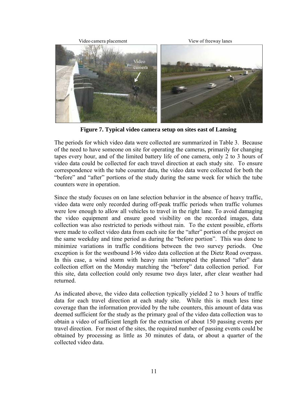

**Figure 7. Typical video camera setup on sites east of Lansing** 

The periods for which video data were collected are summarized in Table 3. Because of the need to have someone on site for operating the cameras, primarily for changing tapes every hour, and of the limited battery life of one camera, only 2 to 3 hours of video data could be collected for each travel direction at each study site. To ensure correspondence with the tube counter data, the video data were collected for both the "before" and "after" portions of the study during the same week for which the tube counters were in operation.

Since the study focuses on on lane selection behavior in the absence of heavy traffic, video data were only recorded during off-peak traffic periods when traffic volumes were low enough to allow all vehicles to travel in the right lane. To avoid damaging the video equipment and ensure good visibility on the recorded images, data collection was also restricted to periods without rain. To the extent possible, efforts were made to collect video data from each site for the "after" portion of the project on the same weekday and time period as during the "before portion". This was done to minimize variations in traffic conditions between the two survey periods. One exception is for the westbound I-96 video data collection at the Dietz Road overpass. In this case, a wind storm with heavy rain interrupted the planned "after" data collection effort on the Monday matching the "before" data collection period. For this site, data collection could only resume two days later, after clear weather had returned.

As indicated above, the video data collection typically yielded 2 to 3 hours of traffic data for each travel direction at each study site. While this is much less time coverage than the information provided by the tube counters, this amount of data was deemed sufficient for the study as the primary goal of the video data collection was to obtain a video of sufficient length for the extraction of about 150 passing events per travel direction. For most of the sites, the required number of passing events could be obtained by processing as little as 30 minutes of data, or about a quarter of the collected video data.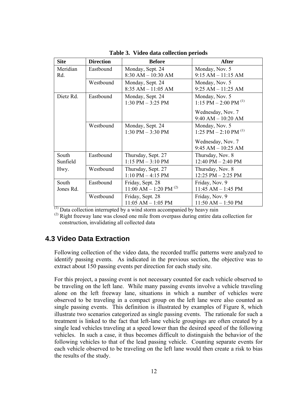| <b>Site</b>        | <b>Direction</b> | <b>Before</b>                                           | <b>After</b>                                             |
|--------------------|------------------|---------------------------------------------------------|----------------------------------------------------------|
| Meridian<br>Rd.    | Eastbound        | Monday, Sept. 24<br>$8:30$ AM $- 10:30$ AM              | Monday, Nov. 5<br>$9:15 AM - 11:15 AM$                   |
|                    | Westbound        | Monday, Sept. 24<br>$8:35 AM - 11:05 AM$                | Monday, Nov. 5<br>$9:25 AM - 11:25 AM$                   |
| Dietz Rd.          | Eastbound        | Monday, Nov. 5<br>1:15 PM $-$ 2:00 PM <sup>(1)</sup>    |                                                          |
|                    |                  |                                                         | Wednesday, Nov. 7<br>$9:40$ AM $- 10:20$ AM              |
|                    | Westbound        | Monday, Sept. 24<br>$1:30$ PM $-3:30$ PM                | Monday, Nov. 5<br>1:25 PM $-$ 2:10 PM $^{(1)}$           |
|                    |                  |                                                         | Wednesday, Nov. 7<br>$9:45 AM - 10:25 AM$                |
| South<br>Sunfield  | Eastbound        | Thursday, Sept. 27<br>$1:15$ PM $-3:10$ PM              | Thursday, Nov. 8<br>$12:40 \text{ PM} - 2:40 \text{ PM}$ |
| Hwy.               | Westbound        | Thursday, Sept. 27<br>$1:10$ PM $-4:15$ PM              | Thursday, Nov. 8<br>$12:25$ PM $-2:25$ PM                |
| South<br>Jones Rd. | Eastbound        | Friday, Sept. 28<br>11:00 AM $-$ 1:20 PM <sup>(2)</sup> | Friday, Nov. 9<br>$11:45$ AM $- 1:45$ PM                 |
|                    | Westbound        | Friday, Sept. 28<br>$11:05$ AM $- 1:05$ PM              | Friday, Nov. 9<br>$11:50 AM - 1:50 PM$                   |

**Table 3. Video data collection periods**

 $\overline{^{(1)}}$  Data collection interrupted by a wind storm accompanied by heavy rain

 $<sup>(2)</sup>$  Right freeway lane was closed one mile from overpass during entire data collection for</sup> construction, invalidating all collected data

#### **4.3 Video Data Extraction**

Following collection of the video data, the recorded traffic patterns were analyzed to identify passing events. As indicated in the previous section, the objective was to extract about 150 passing events per direction for each study site.

For this project, a passing event is not necessary counted for each vehicle observed to be traveling on the left lane. While many passing events involve a vehicle traveling alone on the left freeway lane, situations in which a number of vehicles were observed to be traveling in a compact group on the left lane were also counted as single passing events. This definition is illustrated by examples of Figure 8, which illustrate two scenarios categorized as single passing events. The rationale for such a treatment is linked to the fact that left-lane vehicle groupings are often created by a single lead vehicles traveling at a speed lower than the desired speed of the following vehicles. In such a case, it thus becomes difficult to distinguish the behavior of the following vehicles to that of the lead passing vehicle. Counting separate events for each vehicle observed to be traveling on the left lane would then create a risk to bias the results of the study.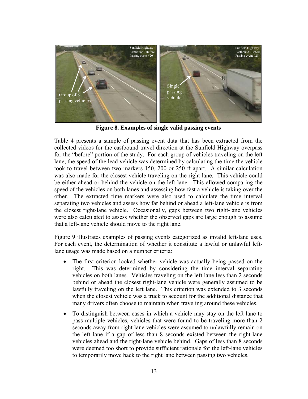

**Figure 8. Examples of single valid passing events** 

Table 4 presents a sample of passing event data that has been extracted from the collected videos for the eastbound travel direction at the Sunfield Highway overpass for the "before" portion of the study. For each group of vehicles traveling on the left lane, the speed of the lead vehicle was determined by calculating the time the vehicle took to travel between two markers 150, 200 or 250 ft apart. A similar calculation was also made for the closest vehicle traveling on the right lane. This vehicle could be either ahead or behind the vehicle on the left lane. This allowed comparing the speed of the vehicles on both lanes and assessing how fast a vehicle is taking over the other. The extracted time markers were also used to calculate the time interval separating two vehicles and assess how far behind or ahead a left-lane vehicle is from the closest right-lane vehicle. Occasionally, gaps between two right-lane vehicles were also calculated to assess whether the observed gaps are large enough to assume that a left-lane vehicle should move to the right lane.

Figure 9 illustrates examples of passing events categorized as invalid left-lane uses. For each event, the determination of whether it constitute a lawful or unlawful leftlane usage was made based on a number criteria:

- The first criterion looked whether vehicle was actually being passed on the right. This was determined by considering the time interval separating vehicles on both lanes. Vehicles traveling on the left lane less than 2 seconds behind or ahead the closest right-lane vehicle were generally assumed to be lawfully traveling on the left lane. This criterion was extended to 3 seconds when the closest vehicle was a truck to account for the additional distance that many drivers often choose to maintain when traveling around these vehicles.
- To distinguish between cases in which a vehicle may stay on the left lane to pass multiple vehicles, vehicles that were found to be traveling more than 2 seconds away from right lane vehicles were assumed to unlawfully remain on the left lane if a gap of less than 8 seconds existed between the right-lane vehicles ahead and the right-lane vehicle behind. Gaps of less than 8 seconds were deemed too short to provide sufficient rationale for the left-lane vehicles to temporarily move back to the right lane between passing two vehicles.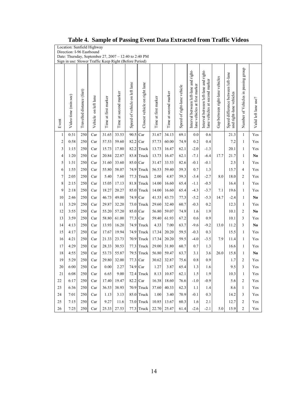|                | Location: Sunfield Highway<br>Direction: I-96 Eastbound<br>Date: Thursday, September 27, 2007 - 12:40 to 2:40 PM |                           |                      |                      |                       |                               |                               |                      |                       |                             |                                                                        |                                                                         |                                 |                                                               |                                     |                      |
|----------------|------------------------------------------------------------------------------------------------------------------|---------------------------|----------------------|----------------------|-----------------------|-------------------------------|-------------------------------|----------------------|-----------------------|-----------------------------|------------------------------------------------------------------------|-------------------------------------------------------------------------|---------------------------------|---------------------------------------------------------------|-------------------------------------|----------------------|
|                | Sign in use: Slower Traffic Keep Right (Before Period)                                                           |                           |                      |                      |                       |                               |                               |                      |                       |                             |                                                                        |                                                                         |                                 |                                                               |                                     |                      |
| Event          | Video time (min:sec)                                                                                             | Travelled distance (feet) | Vehicle on left lane | Time at first marker | Time at second marker | Speed of vehicle on left lane | Closest vehicle on right lane | Time at first marker | Time at second marker | Speed of right-lane vehicle | Interval between left-lane and right-<br>lane vehicles at first marker | Interval between left-lane and right-<br>lane vehicles at second marker | Gap between right-lane vehicles | Speed difference between left-lane<br>and right-lane vehicles | Number of Vehicles in passing group | Valid left lane use? |
| $\mathbf{1}$   | 0:31                                                                                                             | 250                       | Car                  | 31.65                | 33.53                 | 90.5                          | Car                           | 31.67                | 34.13                 | 69.1                        | 0.0                                                                    | 0.6                                                                     |                                 | 21.3                                                          | $\mathbf{1}$                        | Yes                  |
| $\overline{2}$ | 0:58                                                                                                             | 250                       | Car                  | 57.53                | 59.60                 | 82.2                          | Car                           | 57.73                | 60.00                 | 74.9                        | 0.2                                                                    | 0.4                                                                     |                                 | 7.2                                                           | 1                                   | Yes                  |
| 3              | 1:15                                                                                                             | 250                       | Car                  | 15.73                | 17.80                 |                               | 82.2 Truck                    | 13.73                | 16.47                 | 62.1                        | $-2.0$                                                                 | $-1.3$                                                                  |                                 | 20.1                                                          | 1                                   | Yes                  |
| $\overline{4}$ | 1:20                                                                                                             | 250                       | Car                  | 20.84                | 22.87                 |                               | 83.8 Truck                    | 13.73                | 16.47                 | 62.1                        | $-7.1$                                                                 | $-6.4$                                                                  | 17.7                            | 21.7                                                          | 1                                   | N <sub>0</sub>       |
| 5              | 1:31                                                                                                             | 250                       | Car                  | 31.60                | 33.60                 | 85.0 Car                      |                               | 31.47                | 33.53<br>59.40        | 82.6<br>59.3                | $-0.1$                                                                 | $-0.1$                                                                  |                                 | 2.5                                                           | 1                                   | Yes                  |
| 6<br>7         | 1:55<br>2:05                                                                                                     | 250<br>250                | Car<br>Car           | 55.80<br>5.40        | 58.07<br>7.60         | 77.3                          | 74.9 Truck<br>Truck           | 56.53<br>2.00        | 4.87                  | 59.3                        | 0.7<br>$-3.4$                                                          | 1.3<br>$-2.7$                                                           | 8.0                             | 15.7<br>18.0                                                  | 4<br>$\overline{2}$                 | Yes<br>Yes           |
| 8              | 2:15                                                                                                             | 250                       | Car                  | 15.05                | 17.13                 |                               | 81.8 Truck                    | 14.00                | 16.60                 | 65.4                        | $-1.1$                                                                 | $-0.5$                                                                  |                                 | 16.4                                                          | $\mathbf{1}$                        | Yes                  |
| 9              | 2:18                                                                                                             | 250                       | Car                  | 18.27                | 20.27                 |                               | 85.0 Truck                    | 14.00                | 16.60                 | 65.4                        | $-4.3$                                                                 | $-3.7$                                                                  | 7.1                             | 19.6                                                          | 1                                   | Yes                  |
| 10             | 2:46                                                                                                             | 250                       | Car                  | 46.73                | 49.00                 | 74.9 Car                      |                               | 41.53                | 43.73                 | 77.3                        | $-5.2$                                                                 | $-5.3$                                                                  | 14.7                            | $-2.4$                                                        | 1                                   | N <sub>0</sub>       |
| 11             | 3:29                                                                                                             | 250                       | Car                  | 29.87                | 32.20                 |                               | 73.0 Truck                    | 29.60                | 32.40                 | 60.7                        | $-0.3$                                                                 | 0.2                                                                     |                                 | 12.3                                                          | 1                                   | Yes                  |
| 12             | 3:55                                                                                                             | 250                       | Car                  | 55.20                | 57.20                 | 85.0                          | Car                           | 56.80                | 59.07                 | 74.9                        | 1.6                                                                    | 1.9                                                                     |                                 | 10.1                                                          | $\overline{2}$                      | No                   |
| 13             | 3:59                                                                                                             | 250                       | Car                  | 58.80                | 61.00                 | 77.3                          | Car                           | 59.40                | 61.93                 | 67.2                        | 0.6                                                                    | 0.9                                                                     |                                 | 10.1                                                          | 3                                   | Yes                  |
| 14             | 4:13                                                                                                             | 250                       | Car                  | 13.93                | 16.20                 |                               | 74.9 Truck                    | 4.33                 | 7.00                  | 63.7                        | $-9.6$                                                                 | $-9.2$                                                                  | 13.0                            | 11.2                                                          | 3                                   | No                   |
| 15             | 4:17                                                                                                             | 250                       | Car                  | 17.67                | 19.94                 | 74.9                          | Truck                         | 17.34                | 20.20                 | 59.5                        | $-0.3$                                                                 | 0.3                                                                     |                                 | 15.5                                                          | 1                                   | Yes                  |
| 16             | 4:21                                                                                                             | 250                       | Car                  | 21.33                | 23.73                 |                               | 70.9 Truck                    | 17.34                | 20.20                 | 59.5                        | $-4.0$                                                                 | $-3.5$                                                                  | 7.9                             | 11.4                                                          | 1                                   | Yes                  |
| 17             | 4:29                                                                                                             | 250                       | Car                  | 28.33                | 30.53                 |                               | 77.3 Truck                    | 29.00                | 31.80                 | 60.7                        | 0.7                                                                    | 1.3                                                                     |                                 | 16.6                                                          | 1                                   | Yes                  |
| 18             | 4:55                                                                                                             | 250                       | Car                  | 53.73                | 55.87                 |                               | 79.5 Truck                    | 56.80                | 59.47                 | 63.7                        | 3.1                                                                    | 3.6                                                                     | 26.0                            | 15.8                                                          | 1                                   | No                   |
| 19             | 5:29                                                                                                             | 250                       | Car                  | 29.80                | 32.00                 | 77.3                          | Car                           | 30.62                | 32.87                 | 75.6                        | 0.8                                                                    | 0.9                                                                     |                                 | 1.7                                                           | $\overline{2}$                      | Yes                  |
| 20             | 6:00                                                                                                             | 250                       | Car                  | 0.00                 | 2.27                  | 74.9 Car                      |                               | 1.27                 | 3.87                  | 65.4                        | 1.3                                                                    | 1.6                                                                     |                                 | 9.5                                                           | 3                                   | Yes                  |
| 21             | 6:08                                                                                                             | 250                       | Car                  | 6.65                 | 9.00                  |                               | 72.4 Truck                    | 8.13                 | 10.87                 | 62.1                        | 1.5                                                                    | 1.9                                                                     |                                 | 10.3                                                          | 1                                   | Yes                  |
| 22             | 6:17                                                                                                             | 250                       | Car                  | 17.40                | 19.47                 | 82.2 Car                      |                               | 16.38                | 18.60                 | 76.6                        | $-1.0$                                                                 | $-0.9$                                                                  |                                 | 5.6                                                           | $\overline{c}$                      | Yes                  |
| 23             | 6:36                                                                                                             | 250                       | Car                  | 36.53                | 38.93                 |                               | 70.9 Truck                    | 37.60                | 40.33                 | 62.3                        | 1.1                                                                    | 1.4                                                                     |                                 | 8.6                                                           | $\mathbf{1}$                        | Yes                  |
| 24             | 7:01                                                                                                             | 250                       | Car                  | 1.13                 | 3.13                  |                               | 85.0 Truck                    | 1.00                 | 3.40                  | 70.9                        | $-0.1$                                                                 | 0.3                                                                     |                                 | 14.2                                                          | 3                                   | Yes                  |
| 25             | 7:15                                                                                                             | 250                       | Car                  | 9.27                 | 11.6                  |                               | 73.0 Truck                    | 10.85                | 13.67                 | 60.3                        | 1.6                                                                    | 2.1                                                                     |                                 | 12.7                                                          | $\overline{c}$                      | Yes                  |
| 26             | 7:25                                                                                                             | 250                       | Car                  | 25.33                | 27.53                 |                               | 77.3 Truck                    | 22.70                | 25.47                 | 61.4                        | $-2.6$                                                                 | $-2.1$                                                                  | 5.0                             | 15.9                                                          | 2                                   | Yes                  |

#### **Table 4. Sample of Passing Event Data Extracted from Traffic Videos**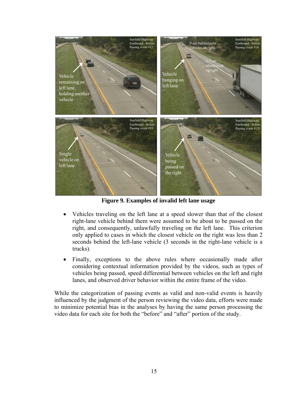

**Figure 9. Examples of invalid left lane usage** 

- Vehicles traveling on the left lane at a speed slower than that of the closest right-lane vehicle behind them were assumed to be about to be passed on the right, and consequently, unlawfully traveling on the left lane. This criterion only applied to cases in which the closest vehicle on the right was less than 2 seconds behind the left-lane vehicle (3 seconds in the right-lane vehicle is a trucks).
- Finally, exceptions to the above rules where occasionally made after considering contextual information provided by the videos, such as types of vehicles being passed, speed differential between vehicles on the left and right lanes, and observed driver behavior within the entire frame of the video.

While the categorization of passing events as valid and non-valid events is heavily influenced by the judgment of the person reviewing the video data, efforts were made to minimize potential bias in the analyses by having the same person processing the video data for each site for both the "before" and "after" portion of the study.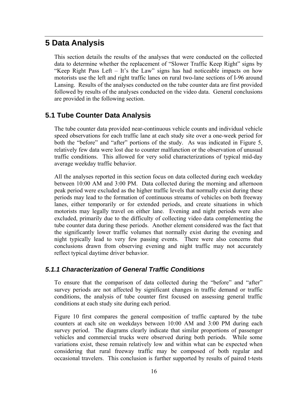# **5 Data Analysis**

This section details the results of the analyses that were conducted on the collected data to determine whether the replacement of "Slower Traffic Keep Right" signs by "Keep Right Pass Left – It's the Law" signs has had noticeable impacts on how motorists use the left and right traffic lanes on rural two-lane sections of I-96 around Lansing. Results of the analyses conducted on the tube counter data are first provided followed by results of the analyses conducted on the video data. General conclusions are provided in the following section.

### **5.1 Tube Counter Data Analysis**

The tube counter data provided near-continuous vehicle counts and individual vehicle speed observations for each traffic lane at each study site over a one-week period for both the "before" and "after" portions of the study. As was indicated in Figure 5, relatively few data were lost due to counter malfunction or the observation of unusual traffic conditions. This allowed for very solid characterizations of typical mid-day average weekday traffic behavior.

All the analyses reported in this section focus on data collected during each weekday between 10:00 AM and 3:00 PM. Data collected during the morning and afternoon peak period were excluded as the higher traffic levels that normally exist during these periods may lead to the formation of continuous streams of vehicles on both freeway lanes, either temporarily or for extended periods, and create situations in which motorists may legally travel on either lane. Evening and night periods were also excluded, primarily due to the difficulty of collecting video data complementing the tube counter data during these periods. Another element considered was the fact that the significantly lower traffic volumes that normally exist during the evening and night typically lead to very few passing events. There were also concerns that conclusions drawn from observing evening and night traffic may not accurately reflect typical daytime driver behavior.

### *5.1.1 Characterization of General Traffic Conditions*

To ensure that the comparison of data collected during the "before" and "after" survey periods are not affected by significant changes in traffic demand or traffic conditions, the analysis of tube counter first focused on assessing general traffic conditions at each study site during each period.

Figure 10 first compares the general composition of traffic captured by the tube counters at each site on weekdays between 10:00 AM and 3:00 PM during each survey period. The diagrams clearly indicate that similar proportions of passenger vehicles and commercial trucks were observed during both periods. While some variations exist, these remain relatively low and within what can be expected when considering that rural freeway traffic may be composed of both regular and occasional travelers. This conclusion is further supported by results of paired t-tests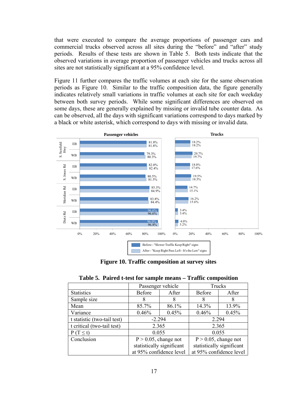that were executed to compare the average proportions of passenger cars and commercial trucks observed across all sites during the "before" and "after" study periods. Results of these tests are shown in Table 5. Both tests indicate that the observed variations in average proportion of passenger vehicles and trucks across all sites are not statistically significant at a 95% confidence level.

Figure 11 further compares the traffic volumes at each site for the same observation periods as Figure 10. Similar to the traffic composition data, the figure generally indicates relatively small variations in traffic volumes at each site for each weekday between both survey periods. While some significant differences are observed on some days, these are generally explained by missing or invalid tube counter data. As can be observed, all the days with significant variations correspond to days marked by a black or white asterisk, which correspond to days with missing or invalid data.



**Figure 10. Traffic composition at survey sites** 

|  |  |  |  |  | Table 5. Paired t-test for sample means - Traffic composition |
|--|--|--|--|--|---------------------------------------------------------------|
|--|--|--|--|--|---------------------------------------------------------------|

|                             |                           | Passenger vehicle |                         | Trucks                    |
|-----------------------------|---------------------------|-------------------|-------------------------|---------------------------|
| <b>Statistics</b>           | <b>Before</b>             | After             | Before                  | After                     |
| Sample size                 | 8                         | 8                 | 8                       | 8                         |
| Mean                        | 85.7%                     | 86.1%             | 14.3%                   | 13.9%                     |
| Variance                    | 0.46%                     | 0.45%             | 0.46%                   | 0.45%                     |
| t statistic (two-tail test) | $-2.294$                  |                   | 2.294                   |                           |
| t critical (two-tail test)  | 2.365                     |                   | 2.365                   |                           |
| $P(T \le t)$                | 0.055                     |                   | 0.055                   |                           |
| Conclusion                  | $P > 0.05$ , change not   |                   | $P > 0.05$ , change not |                           |
|                             | statistically significant |                   |                         | statistically significant |
|                             | at 95% confidence level   |                   | at 95% confidence level |                           |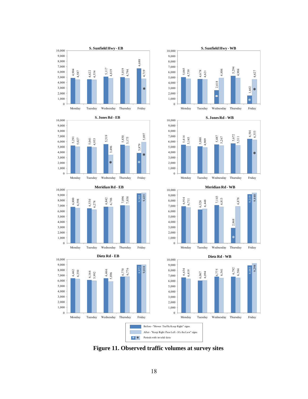















\* \* Before - "Slower Traffic Keep Right" signs After - "Keep Right Pass Left - It's the Law" signs Periods with invalid data

**Figure 11. Observed traffic volumes at survey sites**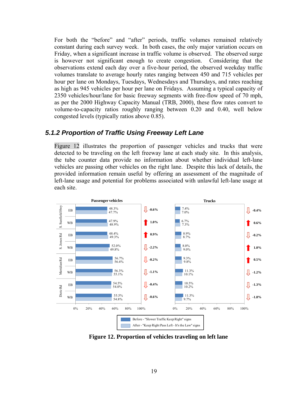For both the "before" and "after" periods, traffic volumes remained relatively constant during each survey week. In both cases, the only major variation occurs on Friday, when a significant increase in traffic volume is observed. The observed surge is however not significant enough to create congestion. Considering that the observations extend each day over a five-hour period, the observed weekday traffic volumes translate to average hourly rates ranging between 450 and 715 vehicles per hour per lane on Mondays, Tuesdays, Wednesdays and Thursdays, and rates reaching as high as 945 vehicles per hour per lane on Fridays. Assuming a typical capacity of 2350 vehicles/hour/lane for basic freeway segments with free-flow speed of 70 mph, as per the 2000 Highway Capacity Manual (TRB, 2000), these flow rates convert to volume-to-capacity ratios roughly ranging between 0.20 and 0.40, well below congested levels (typically ratios above 0.85).

#### *5.1.2 Proportion of Traffic Using Freeway Left Lane*

Figure 12 illustrates the proportion of passenger vehicles and trucks that were detected to be traveling on the left freeway lane at each study site. In this analysis, the tube counter data provide no information about whether individual left-lane vehicles are passing other vehicles on the right lane. Despite this lack of details, the provided information remain useful by offering an assessment of the magnitude of left-lane usage and potential for problems associated with unlawful left-lane usage at each site.



**Figure 12. Proportion of vehicles traveling on left lane**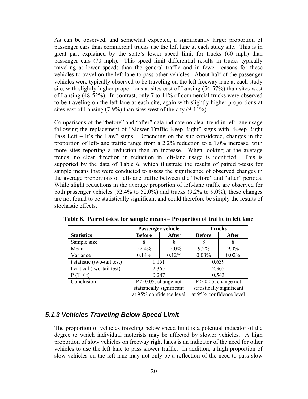As can be observed, and somewhat expected, a significantly larger proportion of passenger cars than commercial trucks use the left lane at each study site. This is in great part explained by the state's lower speed limit for trucks (60 mph) than passenger cars (70 mph). This speed limit differential results in trucks typically traveling at lower speeds than the general traffic and in fewer reasons for these vehicles to travel on the left lane to pass other vehicles. About half of the passenger vehicles were typically observed to be traveling on the left freeway lane at each study site, with slightly higher proportions at sites east of Lansing (54-57%) than sites west of Lansing (48-52%). In contrast, only 7 to 11% of commercial trucks were observed to be traveling on the left lane at each site, again with slightly higher proportions at sites east of Lansing (7-9%) than sites west of the city (9-11%).

Comparisons of the "before" and "after" data indicate no clear trend in left-lane usage following the replacement of "Slower Traffic Keep Right" signs with "Keep Right Pass Left – It's the Law" signs. Depending on the site considered, changes in the proportion of left-lane traffic range from a 2.2% reduction to a 1.0% increase, with more sites reporting a reduction than an increase. When looking at the average trends, no clear direction in reduction in left-lane usage is identified. This is supported by the data of Table 6, which illustrate the results of paired t-tests for sample means that were conducted to assess the significance of observed changes in the average proportions of left-lane traffic between the "before" and "after" periods. While slight reductions in the average proportion of left-lane traffic are observed for both passenger vehicles (52.4% to 52.0%) and trucks (9.2% to 9.0%), these changes are not found to be statistically significant and could therefore be simply the results of stochastic effects.

|                             |                         | Passenger vehicle         |                           | <b>Trucks</b>           |
|-----------------------------|-------------------------|---------------------------|---------------------------|-------------------------|
| <b>Statistics</b>           | <b>Before</b>           | <b>After</b>              | <b>Before</b>             | <b>After</b>            |
| Sample size                 | 8                       | 8                         | 8                         | 8                       |
| Mean                        | 52.4%                   | 52.0%                     | $9.2\%$                   | $9.0\%$                 |
| Variance                    | 0.14%                   | 0.12%                     | 0.03%                     | 0.02%                   |
| t statistic (two-tail test) | 1.151                   |                           | 0.639                     |                         |
| t critical (two-tail test)  | 2.365                   |                           |                           | 2.365                   |
| $P(T \le t)$                | 0.287                   |                           |                           | 0.543                   |
| Conclusion                  | $P > 0.05$ , change not |                           | $P > 0.05$ , change not   |                         |
|                             |                         | statistically significant | statistically significant |                         |
|                             |                         | at 95% confidence level   |                           | at 95% confidence level |

**Table 6. Paired t-test for sample means – Proportion of traffic in left lane** 

#### *5.1.3 Vehicles Traveling Below Speed Limit*

The proportion of vehicles traveling below speed limit is a potential indicator of the degree to which individual motorists may be affected by slower vehicles. A high proportion of slow vehicles on freeway right lanes is an indicator of the need for other vehicles to use the left lane to pass slower traffic. In addition, a high proportion of slow vehicles on the left lane may not only be a reflection of the need to pass slow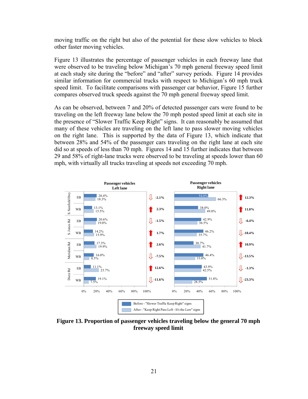moving traffic on the right but also of the potential for these slow vehicles to block other faster moving vehicles.

Figure 13 illustrates the percentage of passenger vehicles in each freeway lane that were observed to be traveling below Michigan's 70 mph general freeway speed limit at each study site during the "before" and "after" survey periods. Figure 14 provides similar information for commercial trucks with respect to Michigan's 60 mph truck speed limit. To facilitate comparisons with passenger car behavior, Figure 15 further compares observed truck speeds against the 70 mph general freeway speed limit.

As can be observed, between 7 and 20% of detected passenger cars were found to be traveling on the left freeway lane below the 70 mph posted speed limit at each site in the presence of "Slower Traffic Keep Right" signs. It can reasonably be assumed that many of these vehicles are traveling on the left lane to pass slower moving vehicles on the right lane. This is supported by the data of Figure 13, which indicate that between 28% and 54% of the passenger cars traveling on the right lane at each site did so at speeds of less than 70 mph. Figures 14 and 15 further indicates that between 29 and 58% of right-lane trucks were observed to be traveling at speeds lower than 60 mph, with virtually all trucks traveling at speeds not exceeding 70 mph.



**Figure 13. Proportion of passenger vehicles traveling below the general 70 mph freeway speed limit**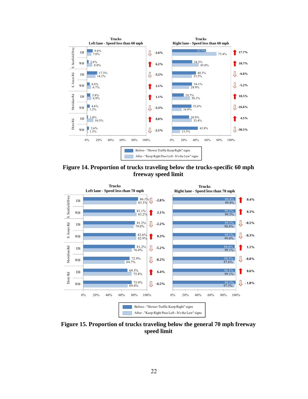![](_page_27_Figure_0.jpeg)

**Figure 14. Proportion of trucks traveling below the trucks-specific 60 mph freeway speed limit** 

![](_page_27_Figure_2.jpeg)

**Figure 15. Proportion of trucks traveling below the general 70 mph freeway speed limit**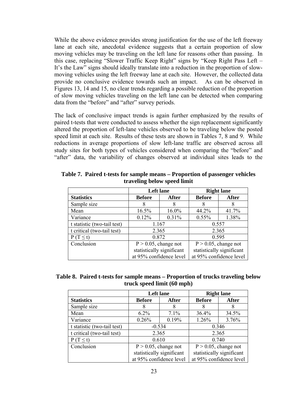While the above evidence provides strong justification for the use of the left freeway lane at each site, anecdotal evidence suggests that a certain proportion of slow moving vehicles may be traveling on the left lane for reasons other than passing. In this case, replacing "Slower Traffic Keep Right" signs by "Keep Right Pass Left – It's the Law" signs should ideally translate into a reduction in the proportion of slowmoving vehicles using the left freeway lane at each site. However, the collected data provide no conclusive evidence towards such an impact. As can be observed in Figures 13, 14 and 15, no clear trends regarding a possible reduction of the proportion of slow moving vehicles traveling on the left lane can be detected when comparing data from the "before" and "after" survey periods.

The lack of conclusive impact trends is again further emphasized by the results of paired t-tests that were conducted to assess whether the sign replacement significantly altered the proportion of left-lane vehicles observed to be traveling below the posted speed limit at each site. Results of these tests are shown in Tables 7, 8 and 9. While reductions in average proportions of slow left-lane traffic are observed across all study sites for both types of vehicles considered when comparing the "before" and "after" data, the variability of changes observed at individual sites leads to the

|                             | <b>Left</b> lane          |          | <b>Right lane</b>       |                           |  |
|-----------------------------|---------------------------|----------|-------------------------|---------------------------|--|
| <b>Statistics</b>           | <b>Before</b>             | After    | <b>Before</b>           | <b>After</b>              |  |
| Sample size                 | 8                         | 8        | 8                       | 8                         |  |
| Mean                        | 16.5%                     | $16.0\%$ | 44.2%                   | 41.7%                     |  |
| Variance                    | 0.12%                     | 0.31%    | $0.55\%$                | 1.38%                     |  |
| t statistic (two-tail test) | 1.167                     |          | 0.557                   |                           |  |
| t critical (two-tail test)  | 2.365                     |          |                         | 2.365                     |  |
| $P(T \le t)$                | 0.872                     |          |                         | 0.595                     |  |
| Conclusion                  | $P > 0.05$ , change not   |          | $P > 0.05$ , change not |                           |  |
|                             | statistically significant |          |                         | statistically significant |  |
|                             | at 95% confidence level   |          | at 95% confidence level |                           |  |

**Table 7. Paired t-tests for sample means – Proportion of passenger vehicles traveling below speed limit** 

|  |                            | Table 8. Paired t-tests for sample means – Proportion of trucks traveling below |
|--|----------------------------|---------------------------------------------------------------------------------|
|  | truck speed limit (60 mph) |                                                                                 |

|                             |               | <b>Left</b> lane          |                           | <b>Right lane</b>       |
|-----------------------------|---------------|---------------------------|---------------------------|-------------------------|
| <b>Statistics</b>           | <b>Before</b> | <b>After</b>              | <b>Before</b>             | <b>After</b>            |
| Sample size                 | 8             | 8                         | 8                         | 8                       |
| Mean                        | $6.2\%$       | 7.1%                      | 36.4%                     | 34.5%                   |
| Variance                    | 0.26%         | 0.19%                     | 1.26%                     | 3.76%                   |
| t statistic (two-tail test) |               | $-0.534$                  |                           | 0.346                   |
| t critical (two-tail test)  | 2.365         |                           |                           | 2.365                   |
| $P(T \le t)$                | 0.610         |                           |                           | 0.740                   |
| Conclusion                  |               | $P > 0.05$ , change not   | $P > 0.05$ , change not   |                         |
|                             |               | statistically significant | statistically significant |                         |
|                             |               | at 95% confidence level   |                           | at 95% confidence level |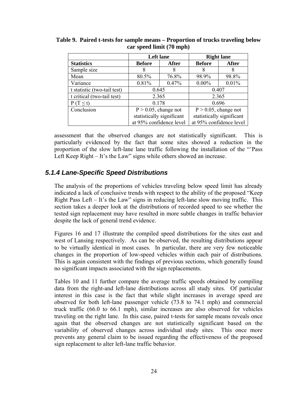|                             | <b>Left lane</b>        |                           | <b>Right lane</b>         |                         |
|-----------------------------|-------------------------|---------------------------|---------------------------|-------------------------|
| <b>Statistics</b>           | <b>Before</b>           | <b>After</b>              | <b>Before</b>             | <b>After</b>            |
| Sample size                 | 8                       | 8                         | 8                         | 8                       |
| Mean                        | 80.5%                   | 76.8%                     | 98.9%                     | 98.8%                   |
| Variance                    | 0.81%                   | 0.47%                     | $0.00\%$                  | 0.01%                   |
| t statistic (two-tail test) | 0.645                   |                           |                           | 0.407                   |
| t critical (two-tail test)  | 2.365                   |                           |                           | 2.365                   |
| $P(T \le t)$                | 0.178                   |                           |                           | 0.696                   |
| Conclusion                  | $P > 0.05$ , change not |                           | $P > 0.05$ , change not   |                         |
|                             |                         | statistically significant | statistically significant |                         |
|                             |                         | at 95% confidence level   |                           | at 95% confidence level |

**Table 9. Paired t-tests for sample means – Proportion of trucks traveling below car speed limit (70 mph)** 

assessment that the observed changes are not statistically significant. This is particularly evidenced by the fact that some sites showed a reduction in the proportion of the slow left-lane lane traffic following the installation of the "'Pass Left Keep Right – It's the Law" signs while others showed an increase.

### *5.1.4 Lane-Specific Speed Distributions*

The analysis of the proportions of vehicles traveling below speed limit has already indicated a lack of conclusive trends with respect to the ability of the proposed "Keep Right Pass Left – It's the Law" signs in reducing left-lane slow moving traffic. This section takes a deeper look at the distributions of recorded speed to see whether the tested sign replacement may have resulted in more subtle changes in traffic behavior despite the lack of general trend evidence.

Figures 16 and 17 illustrate the compiled speed distributions for the sites east and west of Lansing respectively. As can be observed, the resulting distributions appear to be virtually identical in most cases. In particular, there are very few noticeable changes in the proportion of low-speed vehicles within each pair of distributions. This is again consistent with the findings of previous sections, which generally found no significant impacts associated with the sign replacements.

Tables 10 and 11 further compare the average traffic speeds obtained by compiling data from the right-and left-lane distributions across all study sites. Of particular interest in this case is the fact that while slight increases in average speed are observed for both left-lane passenger vehicle (73.8 to 74.1 mph) and commercial truck traffic (66.0 to 66.1 mph), similar increases are also observed for vehicles traveling on the right lane. In this case, paired t-tests for sample means reveals once again that the observed changes are not statistically significant based on the variability of observed changes across individual study sites. This once more prevents any general claim to be issued regarding the effectiveness of the proposed sign replacement to alter left-lane traffic behavior.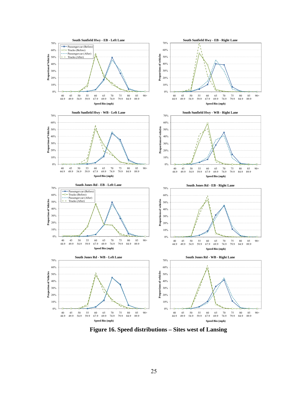![](_page_30_Figure_0.jpeg)

**Figure 16. Speed distributions – Sites west of Lansing**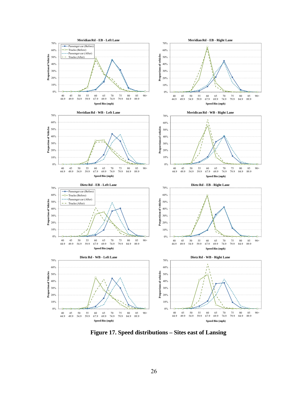![](_page_31_Figure_0.jpeg)

**Figure 17. Speed distributions – Sites east of Lansing**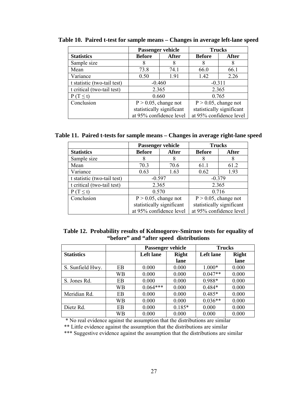|                             |                               | <b>Passenger vehicle</b>  |                           | <b>Trucks</b>           |
|-----------------------------|-------------------------------|---------------------------|---------------------------|-------------------------|
| <b>Statistics</b>           | <b>After</b><br><b>Before</b> |                           | <b>Before</b>             | After                   |
| Sample size                 | 8                             | 8                         | 8                         | 8                       |
| Mean                        | 73.8                          | 74.1                      | 66.0                      | 66.1                    |
| Variance                    | 0.50                          | 191                       | 1.42                      | 2.26                    |
| t statistic (two-tail test) |                               | $-0.460$                  |                           | $-0.311$                |
| t critical (two-tail test)  | 2.365                         |                           |                           | 2.365                   |
| $P(T \le t)$                |                               | 0.660                     |                           | 0.765                   |
| Conclusion                  |                               | $P > 0.05$ , change not   | $P > 0.05$ , change not   |                         |
|                             |                               | statistically significant | statistically significant |                         |
|                             |                               | at 95% confidence level   |                           | at 95% confidence level |

**Table 10. Paired t-test for sample means – Changes in average left-lane speed** 

**Table 11. Paired t-tests for sample means – Changes in average right-lane speed** 

|                             |               | Passenger vehicle         | <b>Trucks</b>             |                         |  |
|-----------------------------|---------------|---------------------------|---------------------------|-------------------------|--|
| <b>Statistics</b>           | <b>Before</b> | After                     | <b>Before</b>             | <b>After</b>            |  |
| Sample size                 | 8             |                           | 8                         | 8                       |  |
| Mean                        | 70.3          | 70.6                      | 61.1                      | 61.2                    |  |
| Variance                    | 0.63          | 1.63                      | 0.62                      | 1.93                    |  |
| t statistic (two-tail test) | $-0.597$      |                           | $-0.379$                  |                         |  |
| t critical (two-tail test)  |               | 2.365                     |                           | 2.365                   |  |
| $P(T \le t)$                |               | 0.570                     |                           | 0.716                   |  |
| Conclusion                  |               | $P > 0.05$ , change not   | $P > 0.05$ , change not   |                         |  |
|                             |               | statistically significant | statistically significant |                         |  |
|                             |               | at 95% confidence level   |                           | at 95% confidence level |  |

| Table 12. Probability results of Kolmogorov-Smirnov tests for equality of |
|---------------------------------------------------------------------------|
| "before" and "after speed distributions"                                  |

|                   |    | Passenger vehicle |              | <b>Trucks</b>    |              |  |
|-------------------|----|-------------------|--------------|------------------|--------------|--|
| <b>Statistics</b> |    | Left lane         | <b>Right</b> | <b>Left</b> lane | <b>Right</b> |  |
|                   |    |                   | lane         |                  | lane         |  |
| S. Sunfield Hwy.  | EB | 0.000             | 0.000        | $1.000*$         | 0.000        |  |
|                   | WВ | 0.000             | 0.000        | $0.047**$        | 0.000        |  |
| S. Jones Rd.      | EB | 0.000             | 0.000        | $0.988*$         | 0.000        |  |
|                   | WB | $0.064***$        | 0.000        | $0.484*$         | 0.000        |  |
| Meridian Rd.      | EB | 0.000             | 0.000        | $0.485*$         | 0.000        |  |
|                   | WB | 0.000             | 0.000        | $0.036**$        | 0.000        |  |
| Dietz Rd.         | EB | 0.000             | $0.185*$     | 0.000            | 0.000        |  |
|                   | WВ | 0.000             | 0.000        | 0.000            | 0.000        |  |

\* No real evidence against the assumption that the distributions are similar

\*\* Little evidence against the assumption that the distributions are similar

\*\*\* Suggestive evidence against the assumption that the distributions are similar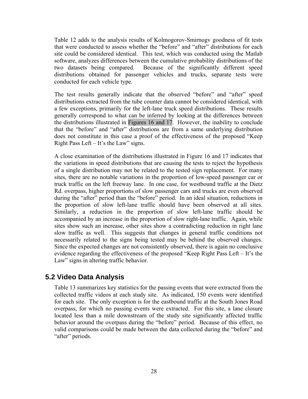Table 12 adds to the analysis results of Kolmogorov-Smirnogv goodness of fit tests that were conducted to assess whether the "before" and "after" distributions for each site could be considered identical. This test, which was conducted using the Matlab software, analyzes differences between the cumulative probability distributions of the two datasets being compared. Because of the significantly different speed distributions obtained for passenger vehicles and trucks, separate tests were conducted for each vehicle type.

The test results generally indicate that the observed "before" and "after" speed distributions extracted from the tube counter data cannot be considered identical, with a few exceptions, primarily for the left-lane truck speed distributions. These results generally correspond to what can be inferred by looking at the differences between the distributions illustrated in Figures 16 and 17. However, the inability to conclude that the "before" and "after" distributions are from a same underlying distribution does not constitute in this case a proof of the effectiveness of the proposed "Keep Right Pass Left – It's the Law" signs.

A close examination of the distributions illustrated in Figure 16 and 17 indicates that the variations in speed distributions that are causing the tests to reject the hypothesis of a single distribution may not be related to the tested sign replacement. For many sites, there are no notable variations in the proportion of low-speed passenger car or truck traffic on the left freeway lane. In one case, for westbound traffic at the Dietz Rd. overpass, higher proportions of slow passenger cars and trucks are even observed during the "after" period than the "before" period. In an ideal situation, reductions in the proportion of slow left-lane traffic should have been observed at all sites. Similarly, a reduction in the proportion of slow left-lane traffic should be accompanied by an increase in the proportion of slow right-lane traffic. Again, while sites show such an increase, other sites show a contradicting reduction in right lane slow traffic as well. This suggests that changes in general traffic conditions not necessarily related to the signs being tested may be behind the observed changes. Since the expected changes are not consistently observed, there is again no conclusive evidence regarding the effectiveness of the proposed "Keep Right Pass Left – It's the Law" signs in altering traffic behavior.

### **5.2 Video Data Analysis**

Table 13 summarizes key statistics for the passing events that were extracted from the collected traffic videos at each study site. As indicated, 150 events were identified for each site. The only exception is for the eastbound traffic at the South Jones Road overpass, for which no passing events were extracted. For this site, a lane closure located less than a mile downstream of the study site significantly affected traffic behavior around the overpass during the "before" period. Because of this effect, no valid comparisons could be made between the data collected during the "before" and "after" periods.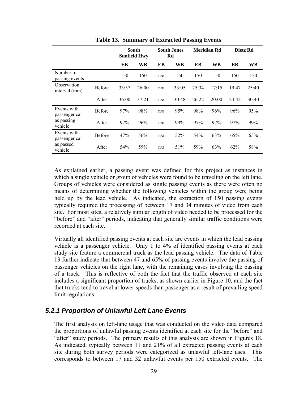|                                                       |               | South<br><b>Sunfield Hwy</b> |           | <b>South Jones</b><br>Rd |       | Meridian Rd |       | Dietz Rd |       |
|-------------------------------------------------------|---------------|------------------------------|-----------|--------------------------|-------|-------------|-------|----------|-------|
|                                                       |               | EB                           | <b>WB</b> | EB                       | WВ    | EB          | WВ    | EB       | WВ    |
| Number of<br>passing events                           |               | 150                          | 150       | n/a                      | 150   | 150         | 150   | 150      | 150   |
| Observation<br>interval (min)                         | <b>Before</b> | 33:37                        | 26:00     | n/a                      | 33:05 | 25:34       | 17:15 | 19:47    | 25:40 |
|                                                       | After         | 36:00                        | 37:21     | n/a                      | 30:48 | 26:22       | 20:00 | 24:42    | 30:40 |
| Events with<br>passenger car<br>as passing<br>vehicle | <b>Before</b> | 97%                          | 98%       | n/a                      | 95%   | 98%         | 96%   | 96%      | 95%   |
|                                                       | After         | 97%                          | 96%       | n/a                      | 99%   | 97%         | 97%   | 97%      | 99%   |
| Events with<br>passenger car<br>as passed<br>vehicle  | Before        | 47%                          | 56%       | n/a                      | 52%   | 54%         | 63%   | 65%      | 65%   |
|                                                       | After         | 54%                          | 59%       | n/a                      | 51%   | 59%         | 63%   | 62%      | 58%   |

**Table 13. Summary of Extracted Passing Events**

As explained earlier, a passing event was defined for this project as instances in which a single vehicle or group of vehicles were found to be traveling on the left lane. Groups of vehicles were considered as single passing events as there were often no means of determining whether the following vehicles within the group were being held up by the lead vehicle. As indicated, the extraction of 150 passing events typically required the processing of between 17 and 34 minutes of video from each site. For most sites, a relatively similar length of video needed to be processed for the "before" and "after" periods, indicating that generally similar traffic conditions were recorded at each site.

Virtually all identified passing events at each site are events in which the lead passing vehicle is a passenger vehicle. Only 1 to 4% of identified passing events at each study site feature a commercial truck as the lead passing vehicle. The data of Table 13 further indicate that between 47 and 65% of passing events involve the passing of passenger vehicles on the right lane, with the remaining cases involving the passing of a truck. This is reflective of both the fact that the traffic observed at each site includes a significant proportion of trucks, as shown earlier in Figure 10, and the fact that trucks tend to travel at lower speeds than passenger as a result of prevailing speed limit regulations.

#### *5.2.1 Proportion of Unlawful Left Lane Events*

The first analysis on left-lane usage that was conducted on the video data compared the proportions of unlawful passing events identified at each site for the "before" and "after" study periods. The primary results of this analysis are shown in Figures 18. As indicated, typically between 11 and 21% of all extracted passing events at each site during both survey periods were categorized as unlawful left-lane uses. This corresponds to between 17 and 32 unlawful events per 150 extracted events. The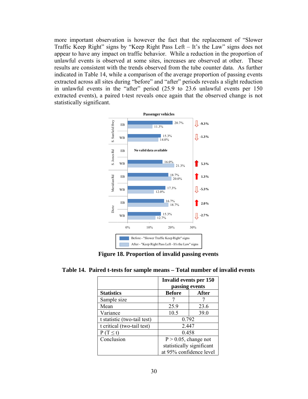more important observation is however the fact that the replacement of "Slower Traffic Keep Right" signs by "Keep Right Pass Left – It's the Law" signs does not appear to have any impact on traffic behavior. While a reduction in the proportion of unlawful events is observed at some sites, increases are observed at other. These results are consistent with the trends observed from the tube counter data. As further indicated in Table 14, while a comparison of the average proportion of passing events extracted across all sites during "before" and "after" periods reveals a slight reduction in unlawful events in the "after" period (25.9 to 23.6 unlawful events per 150 extracted events), a paired t-test reveals once again that the observed change is not statistically significant.

![](_page_35_Figure_1.jpeg)

**Figure 18. Proportion of invalid passing events** 

|                             | Invalid events per 150<br>passing events             |       |  |  |
|-----------------------------|------------------------------------------------------|-------|--|--|
| <b>Statistics</b>           | <b>Before</b>                                        | After |  |  |
| Sample size                 |                                                      |       |  |  |
| Mean                        | 25.9                                                 | 23.6  |  |  |
| Variance                    | 10.5                                                 | 39.0  |  |  |
| t statistic (two-tail test) | 0.792                                                |       |  |  |
| t critical (two-tail test)  | 2.447                                                |       |  |  |
| $P(T \le t)$                | 0.458                                                |       |  |  |
| Conclusion                  | $P > 0.05$ , change not                              |       |  |  |
|                             | statistically significant<br>at 95% confidence level |       |  |  |
|                             |                                                      |       |  |  |

**Table 14. Paired t-tests for sample means – Total number of invalid events**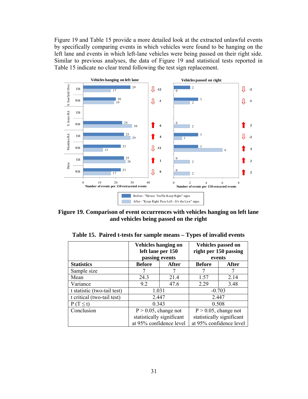Figure 19 and Table 15 provide a more detailed look at the extracted unlawful events by specifically comparing events in which vehicles were found to be hanging on the left lane and events in which left-lane vehicles were being passed on their right side. Similar to previous analyses, the data of Figure 19 and statistical tests reported in Table 15 indicate no clear trend following the test sign replacement.

![](_page_36_Figure_1.jpeg)

**Figure 19. Comparison of event occurrences with vehicles hanging on left lane and vehicles being passed on the right** 

|                             | <b>Vehicles hanging on</b><br>left lane per 150<br>passing events |                           | <b>Vehicles passed on</b><br>right per 150 passing<br>events |       |  |
|-----------------------------|-------------------------------------------------------------------|---------------------------|--------------------------------------------------------------|-------|--|
| <b>Statistics</b>           | <b>Before</b>                                                     | After                     | <b>Before</b>                                                | After |  |
| Sample size                 |                                                                   |                           |                                                              |       |  |
| Mean                        | 24.3                                                              | 21.4                      | 1.57                                                         | 2.14  |  |
| Variance                    | 9.2                                                               | 47.6                      | 2.29                                                         | 3.48  |  |
| t statistic (two-tail test) | 1.031                                                             |                           | $-0.703$                                                     |       |  |
| t critical (two-tail test)  | 2.447                                                             |                           | 2.447                                                        |       |  |
| $P(T \le t)$                | 0.343                                                             |                           | 0.508                                                        |       |  |
| Conclusion                  | $P > 0.05$ , change not                                           |                           | $P > 0.05$ , change not                                      |       |  |
|                             |                                                                   | statistically significant | statistically significant                                    |       |  |
|                             | at 95% confidence level                                           |                           | at 95% confidence level                                      |       |  |

**Table 15. Paired t-tests for sample means – Types of invalid events**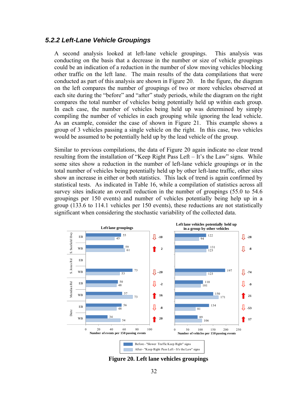#### *5.2.2 Left-Lane Vehicle Groupings*

A second analysis looked at left-lane vehicle groupings. This analysis was conducting on the basis that a decrease in the number or size of vehicle groupings could be an indication of a reduction in the number of slow moving vehicles blocking other traffic on the left lane. The main results of the data compilations that were conducted as part of this analysis are shown in Figure 20. In the figure, the diagram on the left compares the number of groupings of two or more vehicles observed at each site during the "before" and "after" study periods, while the diagram on the right compares the total number of vehicles being potentially held up within each group. In each case, the number of vehicles being held up was determined by simply compiling the number of vehicles in each grouping while ignoring the lead vehicle. As an example, consider the case of shown in Figure 21. This example shows a group of 3 vehicles passing a single vehicle on the right. In this case, two vehicles would be assumed to be potentially held up by the lead vehicle of the group.

Similar to previous compilations, the data of Figure 20 again indicate no clear trend resulting from the installation of "Keep Right Pass Left – It's the Law" signs. While some sites show a reduction in the number of left-lane vehicle groupings or in the total number of vehicles being potentially held up by other left-lane traffic, other sites show an increase in either or both statistics. This lack of trend is again confirmed by statistical tests. As indicated in Table 16, while a compilation of statistics across all survey sites indicate an overall reduction in the number of groupings (55.0 to 54.6 groupings per 150 events) and number of vehicles potentially being help up in a group (133.6 to 114.1 vehicles per 150 events), these reductions are not statistically significant when considering the stochastic variability of the collected data.

![](_page_37_Figure_3.jpeg)

**Figure 20. Left lane vehicles groupings**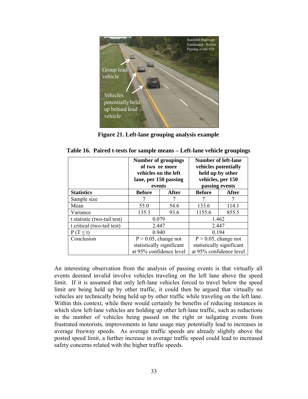![](_page_38_Picture_0.jpeg)

**Figure 21. Left-lane grouping analysis example** 

|  |  |  | Table 16. Paired t-tests for sample means - Left-lane vehicle groupings |  |  |  |
|--|--|--|-------------------------------------------------------------------------|--|--|--|
|--|--|--|-------------------------------------------------------------------------|--|--|--|

|                             | <b>Number of groupings</b><br>of two or more<br>vehicles on the left<br>lane, per 150 passing<br>events |                           | <b>Number of left-lane</b><br>vehicles potentially<br>held up by other<br>vehicles, per 150<br>passing events |       |  |
|-----------------------------|---------------------------------------------------------------------------------------------------------|---------------------------|---------------------------------------------------------------------------------------------------------------|-------|--|
| <b>Statistics</b>           | <b>Before</b>                                                                                           | After                     | <b>Before</b>                                                                                                 | After |  |
| Sample size                 |                                                                                                         |                           |                                                                                                               |       |  |
| Mean                        | 55.0                                                                                                    | 54.6                      | 133.6                                                                                                         | 114.1 |  |
| Variance                    | 135.3                                                                                                   | 93.6                      | 1155.6                                                                                                        | 855.5 |  |
| t statistic (two-tail test) | 0.079                                                                                                   |                           | 1.462                                                                                                         |       |  |
| t critical (two-tail test)  | 2.447                                                                                                   |                           | 2.447                                                                                                         |       |  |
| $P(T \le t)$                | 0.940                                                                                                   |                           | 0.194                                                                                                         |       |  |
| Conclusion                  | $P > 0.05$ , change not                                                                                 |                           | $P > 0.05$ , change not                                                                                       |       |  |
|                             |                                                                                                         | statistically significant | statistically significant                                                                                     |       |  |
|                             | at 95% confidence level                                                                                 |                           | at 95% confidence level                                                                                       |       |  |

An interesting observation from the analysis of passing events is that virtually all events deemed invalid involve vehicles traveling on the left lane above the speed limit. If it is assumed that only left-lane vehicles forced to travel below the speed limit are being held up by other traffic, it could then be argued that virtually no vehicles are technically being held up by other traffic while traveling on the left lane. Within this context, while there would certainly be benefits of reducing instances in which slow left-lane vehicles are holding up other left-lane traffic, such as reductions in the number of vehicles being passed on the right or tailgating events from frustrated motorists, improvements in lane usage may potentially lead to increases in average freeway speeds. As average traffic speeds are already slightly above the posted speed limit, a further increase in average traffic speed could lead to increased safety concerns related with the higher traffic speeds.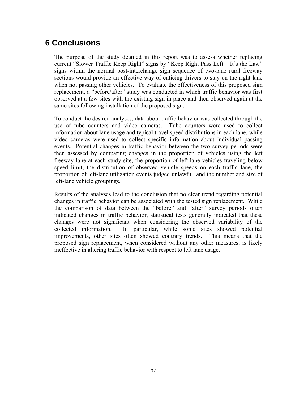# **6 Conclusions**

The purpose of the study detailed in this report was to assess whether replacing current "Slower Traffic Keep Right" signs by "Keep Right Pass Left – It's the Law" signs within the normal post-interchange sign sequence of two-lane rural freeway sections would provide an effective way of enticing drivers to stay on the right lane when not passing other vehicles. To evaluate the effectiveness of this proposed sign replacement, a "before/after" study was conducted in which traffic behavior was first observed at a few sites with the existing sign in place and then observed again at the same sites following installation of the proposed sign.

To conduct the desired analyses, data about traffic behavior was collected through the use of tube counters and video cameras. Tube counters were used to collect information about lane usage and typical travel speed distributions in each lane, while video cameras were used to collect specific information about individual passing events. Potential changes in traffic behavior between the two survey periods were then assessed by comparing changes in the proportion of vehicles using the left freeway lane at each study site, the proportion of left-lane vehicles traveling below speed limit, the distribution of observed vehicle speeds on each traffic lane, the proportion of left-lane utilization events judged unlawful, and the number and size of left-lane vehicle groupings.

Results of the analyses lead to the conclusion that no clear trend regarding potential changes in traffic behavior can be associated with the tested sign replacement. While the comparison of data between the "before" and "after" survey periods often indicated changes in traffic behavior, statistical tests generally indicated that these changes were not significant when considering the observed variability of the collected information. In particular, while some sites showed potential improvements, other sites often showed contrary trends. This means that the proposed sign replacement, when considered without any other measures, is likely ineffective in altering traffic behavior with respect to left lane usage.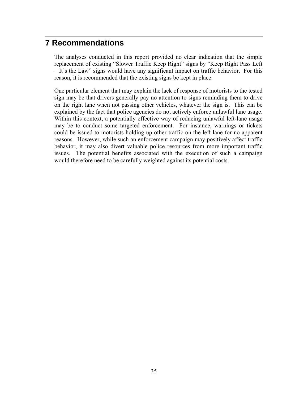# **7 Recommendations**

The analyses conducted in this report provided no clear indication that the simple replacement of existing "Slower Traffic Keep Right" signs by "Keep Right Pass Left – It's the Law" signs would have any significant impact on traffic behavior. For this reason, it is recommended that the existing signs be kept in place.

One particular element that may explain the lack of response of motorists to the tested sign may be that drivers generally pay no attention to signs reminding them to drive on the right lane when not passing other vehicles, whatever the sign is. This can be explained by the fact that police agencies do not actively enforce unlawful lane usage. Within this context, a potentially effective way of reducing unlawful left-lane usage may be to conduct some targeted enforcement. For instance, warnings or tickets could be issued to motorists holding up other traffic on the left lane for no apparent reasons. However, while such an enforcement campaign may positively affect traffic behavior, it may also divert valuable police resources from more important traffic issues. The potential benefits associated with the execution of such a campaign would therefore need to be carefully weighted against its potential costs.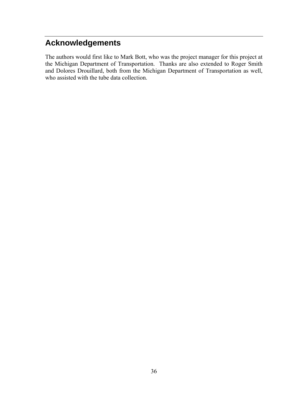# **Acknowledgements**

The authors would first like to Mark Bott, who was the project manager for this project at the Michigan Department of Transportation. Thanks are also extended to Roger Smith and Dolores Drouillard, both from the Michigan Department of Transportation as well, who assisted with the tube data collection.